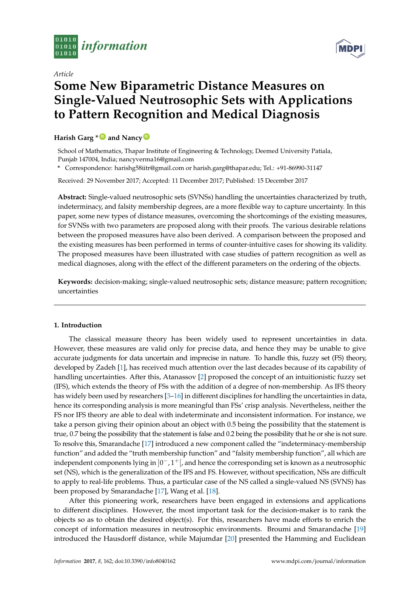

*Article*

# **Some New Biparametric Distance Measures on Single-Valued Neutrosophic Sets with Applications to Pattern Recognition and Medical Diagnosis**

# **Harish Garg \* [ID](https://orcid.org/0000-0001-9099-8422) and Nancy [ID](https://orcid.org/0000-0003-4662-4452)**

School of Mathematics, Thapar Institute of Engineering & Technology, Deemed University Patiala, Punjab 147004, India; nancyverma16@gmail.com

**\*** Correspondence: harishg58iitr@gmail.com or harish.garg@thapar.edu; Tel.: +91-86990-31147

Received: 29 November 2017; Accepted: 11 December 2017; Published: 15 December 2017

**Abstract:** Single-valued neutrosophic sets (SVNSs) handling the uncertainties characterized by truth, indeterminacy, and falsity membership degrees, are a more flexible way to capture uncertainty. In this paper, some new types of distance measures, overcoming the shortcomings of the existing measures, for SVNSs with two parameters are proposed along with their proofs. The various desirable relations between the proposed measures have also been derived. A comparison between the proposed and the existing measures has been performed in terms of counter-intuitive cases for showing its validity. The proposed measures have been illustrated with case studies of pattern recognition as well as medical diagnoses, along with the effect of the different parameters on the ordering of the objects.

**Keywords:** decision-making; single-valued neutrosophic sets; distance measure; pattern recognition; uncertainties

### **1. Introduction**

The classical measure theory has been widely used to represent uncertainties in data. However, these measures are valid only for precise data, and hence they may be unable to give accurate judgments for data uncertain and imprecise in nature. To handle this, fuzzy set (FS) theory, developed by Zadeh [\[1\]](#page-17-0), has received much attention over the last decades because of its capability of handling uncertainties. After this, Atanassov [\[2\]](#page-17-1) proposed the concept of an intuitionistic fuzzy set (IFS), which extends the theory of FSs with the addition of a degree of non-membership. As IFS theory has widely been used by researchers [\[3](#page-17-2)[–16\]](#page-18-0) in different disciplines for handling the uncertainties in data, hence its corresponding analysis is more meaningful than FSs' crisp analysis. Nevertheless, neither the FS nor IFS theory are able to deal with indeterminate and inconsistent information. For instance, we take a person giving their opinion about an object with 0.5 being the possibility that the statement is true, 0.7 being the possibility that the statement is false and 0.2 being the possibility that he or she is not sure. To resolve this, Smarandache [\[17\]](#page-18-1) introduced a new component called the "indeterminacy-membership function" and added the "truth membership function" and "falsity membership function", all which are independent components lying in  $]0^-,1^+[$ , and hence the corresponding set is known as a neutrosophic set (NS), which is the generalization of the IFS and FS. However, without specification, NSs are difficult to apply to real-life problems. Thus, a particular case of the NS called a single-valued NS (SVNS) has been proposed by Smarandache [\[17\]](#page-18-1), Wang et al. [\[18\]](#page-18-2).

After this pioneering work, researchers have been engaged in extensions and applications to different disciplines. However, the most important task for the decision-maker is to rank the objects so as to obtain the desired object(s). For this, researchers have made efforts to enrich the concept of information measures in neutrosophic environments. Broumi and Smarandache [\[19\]](#page-18-3) introduced the Hausdorff distance, while Majumdar [\[20\]](#page-18-4) presented the Hamming and Euclidean

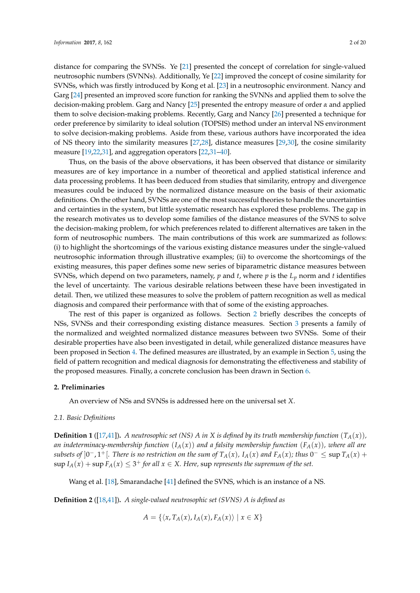distance for comparing the SVNSs. Ye [\[21\]](#page-18-5) presented the concept of correlation for single-valued neutrosophic numbers (SVNNs). Additionally, Ye [\[22\]](#page-18-6) improved the concept of cosine similarity for SVNSs, which was firstly introduced by Kong et al. [\[23\]](#page-18-7) in a neutrosophic environment. Nancy and Garg [\[24\]](#page-18-8) presented an improved score function for ranking the SVNNs and applied them to solve the decision-making problem. Garg and Nancy [\[25\]](#page-18-9) presented the entropy measure of order *α* and applied them to solve decision-making problems. Recently, Garg and Nancy [\[26\]](#page-18-10) presented a technique for order preference by similarity to ideal solution (TOPSIS) method under an interval NS environment to solve decision-making problems. Aside from these, various authors have incorporated the idea of NS theory into the similarity measures [\[27,](#page-18-11)[28\]](#page-18-12), distance measures [\[29](#page-18-13)[,30\]](#page-18-14), the cosine similarity measure [\[19,](#page-18-3)[22,](#page-18-6)[31\]](#page-18-15), and aggregation operators [\[22](#page-18-6)[,31](#page-18-15)[–40\]](#page-19-0).

Thus, on the basis of the above observations, it has been observed that distance or similarity measures are of key importance in a number of theoretical and applied statistical inference and data processing problems. It has been deduced from studies that similarity, entropy and divergence measures could be induced by the normalized distance measure on the basis of their axiomatic definitions. On the other hand, SVNSs are one of the most successful theories to handle the uncertainties and certainties in the system, but little systematic research has explored these problems. The gap in the research motivates us to develop some families of the distance measures of the SVNS to solve the decision-making problem, for which preferences related to different alternatives are taken in the form of neutrosophic numbers. The main contributions of this work are summarized as follows: (i) to highlight the shortcomings of the various existing distance measures under the single-valued neutrosophic information through illustrative examples; (ii) to overcome the shortcomings of the existing measures, this paper defines some new series of biparametric distance measures between SVNSs, which depend on two parameters, namely, *p* and *t*, where *p* is the *L<sup>p</sup>* norm and *t* identifies the level of uncertainty. The various desirable relations between these have been investigated in detail. Then, we utilized these measures to solve the problem of pattern recognition as well as medical diagnosis and compared their performance with that of some of the existing approaches.

The rest of this paper is organized as follows. Section [2](#page-1-0) briefly describes the concepts of NSs, SVNSs and their corresponding existing distance measures. Section [3](#page-3-0) presents a family of the normalized and weighted normalized distance measures between two SVNSs. Some of their desirable properties have also been investigated in detail, while generalized distance measures have been proposed in Section [4.](#page-11-0) The defined measures are illustrated, by an example in Section [5,](#page-12-0) using the field of pattern recognition and medical diagnosis for demonstrating the effectiveness and stability of the proposed measures. Finally, a concrete conclusion has been drawn in Section [6.](#page-17-3)

#### <span id="page-1-0"></span>**2. Preliminaries**

An overview of NSs and SVNSs is addressed here on the universal set *X*.

#### *2.1. Basic Definitions*

**Definition 1** ([\[17,](#page-18-1)[41\]](#page-19-1)). *A neutrosophic set (NS) A in X is defined by its truth membership function*  $(T_A(x))$ *, an indeterminacy-membership function*  $(I_A(x))$  *and a falsity membership function*  $(F_A(x))$ *, where all are* subsets of  $]0^-$ ,  $1^+$ [. There is no restriction on the sum of  $T_A(x)$ ,  $I_A(x)$  and  $F_A(x)$ ; thus  $0^- \le \sup T_A(x) +$  $\sup I_A(x) + \sup F_A(x) \leq 3^+$  *for all*  $x \in X$ . Here,  $\sup$  *represents the supremum of the set.* 

Wang et al. [\[18\]](#page-18-2), Smarandache [\[41\]](#page-19-1) defined the SVNS, which is an instance of a NS.

**Definition 2** ([\[18,](#page-18-2)[41\]](#page-19-1))**.** *A single-valued neutrosophic set (SVNS) A is defined as*

$$
A = \{ \langle x, T_A(x), I_A(x), F_A(x) \rangle \mid x \in X \}
$$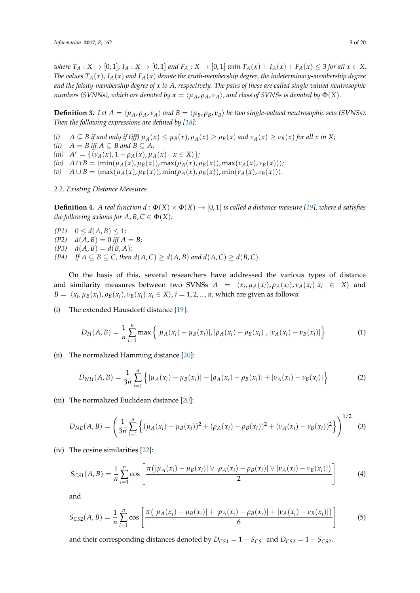where  $T_A: X \to [0,1], I_A: X \to [0,1]$  and  $F_A: X \to [0,1]$  with  $T_A(x) + I_A(x) + F_A(x) \leq 3$  for all  $x \in X$ . *The values*  $T_A(x)$ ,  $I_A(x)$  and  $F_A(x)$  *denote the truth-membership degree, the indeterminacy-membership degree and the falsity-membership degree of x to A, respectively. The pairs of these are called single-valued neutrosophic numbers (SVNNs), which are denoted by*  $\alpha = \langle \mu_A, \rho_A, \nu_A \rangle$ , and class of SVNSs is denoted by  $\Phi(X)$ .

**Definition 3.** Let  $A = \langle \mu_A, \rho_A, \nu_A \rangle$  and  $B = \langle \mu_B, \rho_B, \nu_B \rangle$  be two single-valued neutrosophic sets (SVNSs). *Then the following expressions are defined by [\[18\]](#page-18-2):*

- (i)  $A \subseteq B$  if and only if (iff)  $\mu_A(x) \leq \mu_B(x)$ ,  $\rho_A(x) \geq \rho_B(x)$  and  $\nu_A(x) \geq \nu_B(x)$  for all x in X;
- *(ii)*  $A = B$  *iff*  $A \subseteq B$  *and*  $B \subseteq A$ *;*
- $(iii)$   $A^c = {\langle v_A(x), 1 \rho_A(x), \mu_A(x) | x \in X \rangle};$
- (iv)  $A \cap B = \langle \min(\mu_A(x), \mu_B(x)), \max(\rho_A(x), \rho_B(x)), \max(\nu_A(x), \nu_B(x)) \rangle$ ;
- $(v)$   $A \cup B = \langle max(\mu_A(x), \mu_B(x)), min(\rho_A(x), \rho_B(x)), min(\nu_A(x), \nu_B(x)) \rangle.$
- *2.2. Existing Distance Measures*

<span id="page-2-1"></span>**Definition 4.** *A real function*  $d : \Phi(X) \times \Phi(X) \to [0, 1]$  *is called a distance measure* [\[19\]](#page-18-3)*, where d satisfies the following axioms for A, B,*  $C \in \Phi(X)$ *:* 

- $(P1)$   $0 \leq d(A, B) \leq 1$ *;*  $(P2)$  *d*(*A*, *B*) = 0 *iff A* = *B*;  $P(3)$   $d(A, B) = d(B, A);$
- *(P4) If*  $A \subseteq B \subseteq C$ , then  $d(A, C) \ge d(A, B)$  and  $d(A, C) \ge d(B, C)$ .

On the basis of this, several researchers have addressed the various types of distance and similarity measures between two SVNSs  $A = \langle x_i, \mu_A(x_i), \rho_A(x_i), \nu_A(x_i) | x_i \in X \rangle$  and  $B = \langle x_i, \mu_B(x_i), \rho_B(x_i), \nu_B(x_i) | x_i \in X \rangle$ ,  $i = 1, 2, ..., n$ , which are given as follows:

(i) The extended Hausdorff distance [\[19\]](#page-18-3):

<span id="page-2-0"></span>
$$
D_H(A, B) = \frac{1}{n} \sum_{i=1}^n \max \left\{ |\mu_A(x_i) - \mu_B(x_i)|, |\rho_A(x_i) - \rho_B(x_i)|, |\nu_A(x_i) - \nu_B(x_i)| \right\}
$$
(1)

(ii) The normalized Hamming distance [\[20\]](#page-18-4):

<span id="page-2-5"></span>
$$
D_{NH}(A,B) = \frac{1}{3n} \sum_{i=1}^{n} \left\{ |\mu_A(x_i) - \mu_B(x_i)| + |\rho_A(x_i) - \rho_B(x_i)| + |\nu_A(x_i) - \nu_B(x_i)| \right\}
$$
(2)

(iii) The normalized Euclidean distance [\[20\]](#page-18-4):

<span id="page-2-2"></span>
$$
D_{NE}(A,B) = \left(\frac{1}{3n} \sum_{i=1}^{n} \left\{ (\mu_A(x_i) - \mu_B(x_i))^2 + (\rho_A(x_i) - \rho_B(x_i))^2 + (\nu_A(x_i) - \nu_B(x_i))^2 \right\} \right)^{1/2}
$$
(3)

(iv) The cosine similarities [\[22\]](#page-18-6):

<span id="page-2-3"></span>
$$
S_{CS1}(A,B) = \frac{1}{n} \sum_{i=1}^{n} \cos \left[ \frac{\pi (|\mu_A(x_i) - \mu_B(x_i)| \vee |\rho_A(x_i) - \rho_B(x_i)| \vee |\nu_A(x_i) - \nu_B(x_i)|)}{2} \right]
$$
(4)

and

<span id="page-2-4"></span>
$$
S_{CS2}(A,B) = \frac{1}{n} \sum_{i=1}^{n} \cos \left[ \frac{\pi(|\mu_A(x_i) - \mu_B(x_i)| + |\rho_A(x_i) - \rho_B(x_i)| + |\nu_A(x_i) - \nu_B(x_i)|)}{6} \right]
$$
(5)

and their corresponding distances denoted by  $D_{CS1} = 1 - S_{CS1}$  and  $D_{CS2} = 1 - S_{CS2}$ .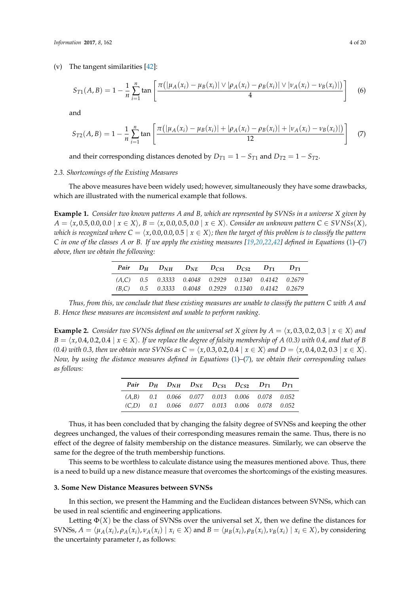(v) The tangent similarities [\[42\]](#page-19-2):

<span id="page-3-4"></span>
$$
S_{T1}(A,B) = 1 - \frac{1}{n} \sum_{i=1}^{n} \tan \left[ \frac{\pi(|\mu_A(x_i) - \mu_B(x_i)| \vee |\rho_A(x_i) - \rho_B(x_i)| \vee |\nu_A(x_i) - \nu_B(x_i)|)}{4} \right] \tag{6}
$$

and

<span id="page-3-1"></span>
$$
S_{T2}(A,B) = 1 - \frac{1}{n} \sum_{i=1}^{n} \tan \left[ \frac{\pi(|\mu_A(x_i) - \mu_B(x_i)| + |\rho_A(x_i) - \rho_B(x_i)| + |\nu_A(x_i) - \nu_B(x_i)|)}{12} \right]
$$
(7)

and their corresponding distances denoted by  $D_{T1} = 1 - S_{T1}$  and  $D_{T2} = 1 - S_{T2}$ .

#### *2.3. Shortcomings of the Existing Measures*

The above measures have been widely used; however, simultaneously they have some drawbacks, which are illustrated with the numerical example that follows.

<span id="page-3-2"></span>**Example 1.** *Consider two known patterns A and B, which are represented by SVNSs in a universe X given by A* =  $\langle x, 0.5, 0.0, 0.0 | x ∈ X \rangle$ ,  $B = \langle x, 0.0, 0.5, 0.0 | x ∈ X \rangle$ . Consider an unknown pattern  $C ∈ SVMSS(X)$ , *which is recognized where*  $C = \langle x, 0.0, 0.0, 0.5 | x \in X \rangle$ ; then the target of this problem is to classify the pattern *C in one of the classes A or B. If we apply the existing measures [\[19](#page-18-3)[,20](#page-18-4)[,22](#page-18-6)[,42\]](#page-19-2) defined in Equations* [\(1\)](#page-2-0)*–*[\(7\)](#page-3-1) *above, then we obtain the following:*

|  | Pair $D_H$ $D_{NH}$ $D_{NE}$ $D_{CS1}$ $D_{CS2}$ $D_{T1}$ $D_{T1}$ |  |  |  |
|--|--------------------------------------------------------------------|--|--|--|
|  | $(A.C)$ 0.5 0.3333 0.4048 0.2929 0.1340 0.4142 0.2679              |  |  |  |
|  | $(B,C)$ 0.5 0.3333 0.4048 0.2929 0.1340 0.4142 0.2679              |  |  |  |

*Thus, from this, we conclude that these existing measures are unable to classify the pattern C with A and B. Hence these measures are inconsistent and unable to perform ranking.*

<span id="page-3-3"></span>**Example 2.** *Consider two SVNSs defined on the universal set X given by*  $A = \langle x, 0.3, 0.2, 0.3 | x \in X \rangle$  *and*  $B = \langle x, 0.4, 0.2, 0.4 \mid x \in X \rangle$ . If we replace the degree of falsity membership of *A* (0.3) with 0.4, and that of *B (0.4) with 0.3, then we obtain new SVNSs as*  $C = \langle x, 0.3, 0.2, 0.4 | x ∈ X \rangle$  and  $D = \langle x, 0.4, 0.2, 0.3 | x ∈ X \rangle$ . *Now, by using the distance measures defined in Equations* [\(1\)](#page-2-0)*–*[\(7\)](#page-3-1)*, we obtain their corresponding values as follows:*

|  |  | Pair $D_H$ $D_{NH}$ $D_{NE}$ $D_{CS1}$ $D_{CS2}$ $D_{T1}$ $D_{T1}$ |  |
|--|--|--------------------------------------------------------------------|--|
|  |  | $(A,B)$ 0.1 0.066 0.077 0.013 0.006 0.078 0.052                    |  |
|  |  | $(C,D)$ 0.1 0.066 0.077 0.013 0.006 0.078 0.052                    |  |

Thus, it has been concluded that by changing the falsity degree of SVNSs and keeping the other degrees unchanged, the values of their corresponding measures remain the same. Thus, there is no effect of the degree of falsity membership on the distance measures. Similarly, we can observe the same for the degree of the truth membership functions.

This seems to be worthless to calculate distance using the measures mentioned above. Thus, there is a need to build up a new distance measure that overcomes the shortcomings of the existing measures.

#### <span id="page-3-0"></span>**3. Some New Distance Measures between SVNSs**

In this section, we present the Hamming and the Euclidean distances between SVNSs, which can be used in real scientific and engineering applications.

Letting  $\Phi(X)$  be the class of SVNSs over the universal set *X*, then we define the distances for SVNSs,  $A = \langle \mu_A(x_i), \rho_A(x_i), \nu_A(x_i) | x_i \in X \rangle$  and  $B = \langle \mu_B(x_i), \rho_B(x_i), \nu_B(x_i) | x_i \in X \rangle$ , by considering the uncertainty parameter *t*, as follows: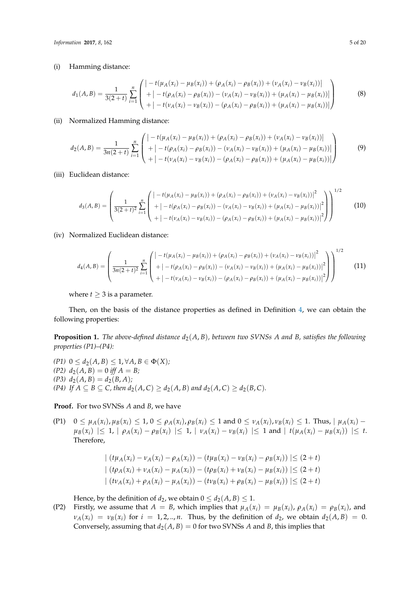(i) Hamming distance:

$$
d_1(A,B) = \frac{1}{3(2+t)} \sum_{i=1}^n \begin{pmatrix} \left| -t(\mu_A(x_i) - \mu_B(x_i)) + (\rho_A(x_i) - \rho_B(x_i)) + (\nu_A(x_i) - \nu_B(x_i)) \right| \\ + \left| -t(\rho_A(x_i) - \rho_B(x_i)) - (\nu_A(x_i) - \nu_B(x_i)) + (\mu_A(x_i) - \mu_B(x_i)) \right| \\ + \left| -t(\nu_A(x_i) - \nu_B(x_i)) - (\rho_A(x_i) - \rho_B(x_i)) + (\mu_A(x_i) - \mu_B(x_i)) \right| \end{pmatrix}
$$
(8)

#### (ii) Normalized Hamming distance:

<span id="page-4-2"></span>
$$
d_2(A,B) = \frac{1}{3n(2+t)} \sum_{i=1}^n \begin{pmatrix} \left| -t(\mu_A(x_i) - \mu_B(x_i)) + (\rho_A(x_i) - \rho_B(x_i)) + (\nu_A(x_i) - \nu_B(x_i)) \right| \\ + \left| -t(\rho_A(x_i) - \rho_B(x_i)) - (\nu_A(x_i) - \nu_B(x_i)) + (\mu_A(x_i) - \mu_B(x_i)) \right| \\ + \left| -t(\nu_A(x_i) - \nu_B(x_i)) - (\rho_A(x_i) - \rho_B(x_i)) + (\mu_A(x_i) - \mu_B(x_i)) \right| \end{pmatrix}
$$
(9)

(iii) Euclidean distance:

$$
d_3(A,B) = \left(\frac{1}{3(2+t)^2} \sum_{i=1}^n \left( \frac{|-t(\mu_A(x_i) - \mu_B(x_i)) + (\rho_A(x_i) - \rho_B(x_i)) + (\nu_A(x_i) - \nu_B(x_i))|^2}{+| -t(\rho_A(x_i) - \rho_B(x_i)) - (\nu_A(x_i) - \nu_B(x_i)) + (\mu_A(x_i) - \mu_B(x_i))|^2} \right) \right)^{1/2}
$$
(10)

(iv) Normalized Euclidean distance:

<span id="page-4-0"></span>
$$
d_4(A,B) = \left(\frac{1}{3n(2+t)^2} \sum_{i=1}^n \begin{pmatrix} \left| -t(\mu_A(x_i) - \mu_B(x_i)) + (\rho_A(x_i) - \rho_B(x_i)) + (\nu_A(x_i) - \nu_B(x_i)) \right|^2 \\ + \left| -t(\rho_A(x_i) - \rho_B(x_i)) - (\nu_A(x_i) - \nu_B(x_i)) + (\mu_A(x_i) - \mu_B(x_i)) \right|^2 \\ + \left| -t(\nu_A(x_i) - \nu_B(x_i)) - (\rho_A(x_i) - \rho_B(x_i)) + (\mu_A(x_i) - \mu_B(x_i)) \right|^2 \end{pmatrix}\right)^{1/2}
$$
(11)

where  $t \geq 3$  is a parameter.

Then, on the basis of the distance properties as defined in Definition [4,](#page-2-1) we can obtain the following properties:

<span id="page-4-1"></span>**Proposition 1.** *The above-defined distance*  $d_2(A, B)$ *, between two SVNSs A and B, satisfies the following properties (P1)–(P4):*

*(P1)* 0 ≤  $d_2(A, B)$  ≤ 1, ∀*A*,  $B \in \Phi(X)$ ;  $(P2)$   $d_2(A, B) = 0$  *iff*  $A = B$ ;  $(P3)$   $d_2(A, B) = d_2(B, A)$ ; *(P4) If A* ⊆ *B* ⊆ *C*, *then*  $d_2(A, C) \ge d_2(A, B)$  *and*  $d_2(A, C) \ge d_2(B, C)$ *.* 

**Proof.** For two SVNSs *A* and *B*, we have

(P1)  $0 \leq \mu_A(x_i), \mu_B(x_i) \leq 1, 0 \leq \rho_A(x_i), \rho_B(x_i) \leq 1$  and  $0 \leq \nu_A(x_i), \nu_B(x_i) \leq 1$ . Thus,  $|\mu_A(x_i) - \mu_A(x_i)|$  $\mu_B(x_i) \leq 1$ ,  $\mu_A(x_i) - \rho_B(x_i) \leq 1$ ,  $\mu_A(x_i) - \nu_B(x_i) \leq 1$  and  $\mu_A(x_i) - \mu_B(x_i) \leq t$ . Therefore,

$$
\left| (t\mu_A(x_i) - v_A(x_i) - \rho_A(x_i)) - (t\mu_B(x_i) - v_B(x_i) - \rho_B(x_i)) \right| \le (2+t)
$$
  

$$
\left| (t\rho_A(x_i) + v_A(x_i) - \mu_A(x_i)) - (t\rho_B(x_i) + v_B(x_i) - \mu_B(x_i)) \right| \le (2+t)
$$
  

$$
\left| (t\nu_A(x_i) + \rho_A(x_i) - \mu_A(x_i)) - (t\nu_B(x_i) + \rho_B(x_i) - \mu_B(x_i)) \right| \le (2+t)
$$

Hence, by the definition of  $d_2$ , we obtain  $0 \leq d_2(A, B) \leq 1$ .

(P2) Firstly, we assume that  $A = B$ , which implies that  $\mu_A(x_i) = \mu_B(x_i)$ ,  $\rho_A(x_i) = \rho_B(x_i)$ , and  $v_A(x_i) = v_B(x_i)$  for  $i = 1, 2, \ldots, n$ . Thus, by the definition of  $d_2$ , we obtain  $d_2(A, B) = 0$ . Conversely, assuming that  $d_2(A, B) = 0$  for two SVNSs *A* and *B*, this implies that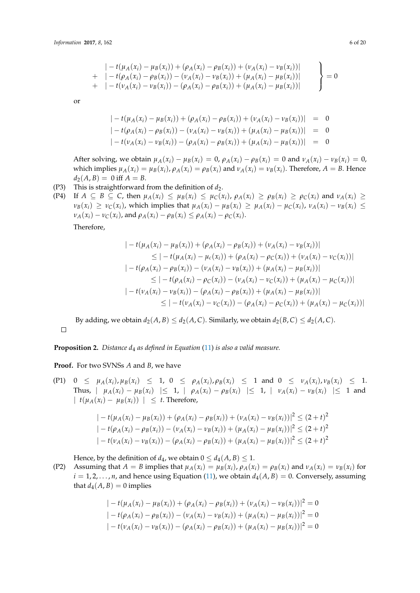$$
\begin{array}{l}\n|- t(\mu_A(x_i) - \mu_B(x_i)) + (\rho_A(x_i) - \rho_B(x_i)) + (\nu_A(x_i) - \nu_B(x_i))| \\
+ \quad - t(\rho_A(x_i) - \rho_B(x_i)) - (\nu_A(x_i) - \nu_B(x_i)) + (\mu_A(x_i) - \mu_B(x_i))| \\
+ \quad - t(\nu_A(x_i) - \nu_B(x_i)) - (\rho_A(x_i) - \rho_B(x_i)) + (\mu_A(x_i) - \mu_B(x_i))| \\
\end{array}\n\bigg\} = 0
$$

or

$$
\begin{aligned}\n| - t(\mu_A(x_i) - \mu_B(x_i)) + (\rho_A(x_i) - \rho_B(x_i)) + (\nu_A(x_i) - \nu_B(x_i)) | &= 0 \\
| - t(\rho_A(x_i) - \rho_B(x_i)) - (\nu_A(x_i) - \nu_B(x_i)) + (\mu_A(x_i) - \mu_B(x_i)) | &= 0 \\
| - t(\nu_A(x_i) - \nu_B(x_i)) - (\rho_A(x_i) - \rho_B(x_i)) + (\mu_A(x_i) - \mu_B(x_i)) | &= 0\n\end{aligned}
$$

After solving, we obtain  $\mu_A(x_i) - \mu_B(x_i) = 0$ ,  $\rho_A(x_i) - \rho_B(x_i) = 0$  and  $\nu_A(x_i) - \nu_B(x_i) = 0$ , which implies  $\mu_A(x_i) = \mu_B(x_i)$ ,  $\rho_A(x_i) = \rho_B(x_i)$  and  $\nu_A(x_i) = \nu_B(x_i)$ . Therefore,  $A = B$ . Hence  $d_2(A, B) = 0$  iff  $A = B$ .

(P3) This is straightforward from the definition of  $d_2$ .

(P4) If  $A \subseteq B \subseteq C$ , then  $\mu_A(x_i) \leq \mu_B(x_i) \leq \mu_C(x_i)$ ,  $\rho_A(x_i) \geq \rho_B(x_i) \geq \rho_C(x_i)$  and  $\nu_A(x_i) \geq$  $\nu_B(x_i) \geq \nu_C(x_i)$ , which implies that  $\mu_A(x_i) - \mu_B(x_i) \geq \mu_A(x_i) - \mu_C(x_i)$ ,  $\nu_A(x_i) - \nu_B(x_i) \leq \nu_C(x_i)$  $\nu_A(x_i) - \nu_C(x_i)$ , and  $\rho_A(x_i) - \rho_B(x_i) \leq \rho_A(x_i) - \rho_C(x_i)$ .

Therefore,

$$
\begin{aligned}\n&|-t(\mu_A(x_i) - \mu_B(x_i)) + (\rho_A(x_i) - \rho_B(x_i)) + (\nu_A(x_i) - \nu_B(x_i))| \\
&\leq |-t(\mu_A(x_i) - \mu_c(x_i)) + (\rho_A(x_i) - \rho_C(x_i)) + (\nu_A(x_i) - \nu_C(x_i))| \\
&-t(\rho_A(x_i) - \rho_B(x_i)) - (\nu_A(x_i) - \nu_B(x_i)) + (\mu_A(x_i) - \mu_B(x_i))| \\
&\leq |-t(\rho_A(x_i) - \rho_C(x_i)) - (\nu_A(x_i) - \nu_C(x_i)) + (\mu_A(x_i) - \mu_C(x_i))| \\
&-t(\nu_A(x_i) - \nu_B(x_i)) - (\rho_A(x_i) - \rho_B(x_i)) + (\mu_A(x_i) - \mu_B(x_i))| \\
&\leq |-t(\nu_A(x_i) - \nu_C(x_i)) - (\rho_A(x_i) - \rho_C(x_i)) + (\mu_A(x_i) - \mu_C(x_i))|\n\end{aligned}
$$

By adding, we obtain  $d_2(A, B) \leq d_2(A, C)$ . Similarly, we obtain  $d_2(B, C) \leq d_2(A, C)$ .  $\Box$ 

**Proposition 2.** *Distance d<sub>4</sub> as defined in Equation* [\(11\)](#page-4-0) *is also a valid measure.* 

**Proof.** For two SVNSs *A* and *B*, we have

(P1)  $0 \leq \mu_A(x_i), \mu_B(x_i) \leq 1, 0 \leq \rho_A(x_i), \rho_B(x_i) \leq 1$  and  $0 \leq \nu_A(x_i), \nu_B(x_i) \leq 1$ . Thus,  $\mu_A(x_i) - \mu_B(x_i) \leq 1$ ,  $\mu_A(x_i) - \rho_B(x_i) \leq 1$ ,  $\mu_A(x_i) - \nu_B(x_i) \leq 1$  and  $| t(\mu_A(x_i) - \mu_B(x_i)) | \leq t$ . Therefore,

$$
|-t(\mu_A(x_i) - \mu_B(x_i)) + (\rho_A(x_i) - \rho_B(x_i)) + (\nu_A(x_i) - \nu_B(x_i))|^2 \le (2+t)^2
$$
  

$$
|-t(\rho_A(x_i) - \rho_B(x_i)) - (\nu_A(x_i) - \nu_B(x_i)) + (\mu_A(x_i) - \mu_B(x_i))|^2 \le (2+t)^2
$$
  

$$
|-t(\nu_A(x_i) - \nu_B(x_i)) - (\rho_A(x_i) - \rho_B(x_i)) + (\mu_A(x_i) - \mu_B(x_i))|^2 \le (2+t)^2
$$

Hence, by the definition of  $d_4$ , we obtain  $0 \leq d_4(A, B) \leq 1$ .

(P2) Assuming that  $A = B$  implies that  $\mu_A(x_i) = \mu_B(x_i)$ ,  $\rho_A(x_i) = \rho_B(x_i)$  and  $\nu_A(x_i) = \nu_B(x_i)$  for  $i = 1, 2, \ldots, n$ , and hence using Equation [\(11\)](#page-4-0), we obtain  $d_A(A, B) = 0$ . Conversely, assuming that  $d_4(A, B) = 0$  implies

$$
|-t(\mu_A(x_i) - \mu_B(x_i)) + (\rho_A(x_i) - \rho_B(x_i)) + (\nu_A(x_i) - \nu_B(x_i))|^2 = 0
$$
  

$$
|-t(\rho_A(x_i) - \rho_B(x_i)) - (\nu_A(x_i) - \nu_B(x_i)) + (\mu_A(x_i) - \mu_B(x_i))|^2 = 0
$$
  

$$
|-t(\nu_A(x_i) - \nu_B(x_i)) - (\rho_A(x_i) - \rho_B(x_i)) + (\mu_A(x_i) - \mu_B(x_i))|^2 = 0
$$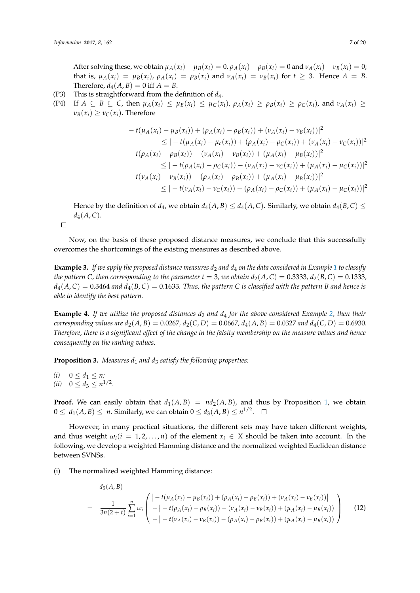After solving these, we obtain  $\mu_A(x_i) - \mu_B(x_i) = 0$ ,  $\rho_A(x_i) - \rho_B(x_i) = 0$  and  $\nu_A(x_i) - \nu_B(x_i) = 0$ ; that is,  $\mu_A(x_i) = \mu_B(x_i)$ ,  $\rho_A(x_i) = \rho_B(x_i)$  and  $\nu_A(x_i) = \nu_B(x_i)$  for  $t \geq 3$ . Hence  $A = B$ . Therefore,  $d_4(A, B) = 0$  iff  $A = B$ .

- (P3) This is straightforward from the definition of *d*4.
- (P4) If  $A \subseteq B \subseteq C$ , then  $\mu_A(x_i) \leq \mu_B(x_i) \leq \mu_C(x_i)$ ,  $\rho_A(x_i) \geq \rho_B(x_i) \geq \rho_C(x_i)$ , and  $\nu_A(x_i) \geq$  $\nu_B(x_i) \geq \nu_C(x_i)$ . Therefore

$$
\begin{aligned}\n&|-t(\mu_A(x_i) - \mu_B(x_i)) + (\rho_A(x_i) - \rho_B(x_i)) + (\nu_A(x_i) - \nu_B(x_i))|^2 \\
&\leq |-t(\mu_A(x_i) - \mu_C(x_i)) + (\rho_A(x_i) - \rho_C(x_i)) + (\nu_A(x_i) - \nu_C(x_i))|^2 \\
&|-t(\rho_A(x_i) - \rho_B(x_i)) - (\nu_A(x_i) - \nu_B(x_i)) + (\mu_A(x_i) - \mu_B(x_i))|^2 \\
&\leq |-t(\rho_A(x_i) - \rho_C(x_i)) - (\nu_A(x_i) - \nu_C(x_i)) + (\mu_A(x_i) - \mu_C(x_i))|^2 \\
&|-t(\nu_A(x_i) - \nu_B(x_i)) - (\rho_A(x_i) - \rho_B(x_i)) + (\mu_A(x_i) - \mu_B(x_i))|^2 \\
&\leq |-t(\nu_A(x_i) - \nu_C(x_i)) - (\rho_A(x_i) - \rho_C(x_i)) + (\mu_A(x_i) - \mu_C(x_i))|^2\n\end{aligned}
$$

Hence by the definition of *d*<sub>4</sub>, we obtain *d*<sub>4</sub>(*A*, *B*)  $\leq$  *d*<sub>4</sub>(*A*, *C*). Similarly, we obtain *d*<sub>4</sub>(*B*, *C*)  $\leq$  $d_4(A, C)$ .

 $\Box$ 

Now, on the basis of these proposed distance measures, we conclude that this successfully overcomes the shortcomings of the existing measures as described above.

**Example 3.** If we apply the proposed distance measures  $d_2$  and  $d_4$  on the data considered in Example [1](#page-3-2) to classify *the pattern C*, *then corresponding to the parameter*  $t = 3$ *, we obtain*  $d_2(A, C) = 0.3333$ ,  $d_2(B, C) = 0.1333$ ,  $d_4(A,C) = 0.3464$  *and*  $d_4(B,C) = 0.1633$ *. Thus, the pattern C is classified with the pattern B and hence is able to identify the best pattern.*

**Example 4.** *If we utilize the proposed distances*  $d_2$  *and*  $d_4$  *for the above-considered Example* [2,](#page-3-3) *then their corresponding values are*  $d_2(A, B) = 0.0267, d_2(C, D) = 0.0667, d_4(A, B) = 0.0327$  and  $d_4(C, D) = 0.6930$ . *Therefore, there is a significant effect of the change in the falsity membership on the measure values and hence consequently on the ranking values.*

**Proposition 3.** *Measures d<sub>1</sub> and d<sub>3</sub> satisfy the following properties:* 

*(i)*  $0 \le d_1 \le n$ ;

(*ii*)  $0 \leq d_3 \leq n^{1/2}$ .

**Proof.** We can easily obtain that  $d_1(A, B) = nd_2(A, B)$ , and thus by Proposition [1,](#page-4-1) we obtain  $0 \leq d_1(A, B) \leq n$ . Similarly, we can obtain  $0 \leq d_3(A, B) \leq n^{1/2}$ .

However, in many practical situations, the different sets may have taken different weights, and thus weight  $\omega_i(i = 1, 2, ..., n)$  of the element  $x_i \in X$  should be taken into account. In the following, we develop a weighted Hamming distance and the normalized weighted Euclidean distance between SVNSs.

(i) The normalized weighted Hamming distance:

<span id="page-6-0"></span>
$$
d_{5}(A, B)
$$
\n
$$
= \frac{1}{3n(2+t)} \sum_{i=1}^{n} \omega_{i} \left( \begin{array}{l} | - t(\mu_{A}(x_{i}) - \mu_{B}(x_{i})) + (\rho_{A}(x_{i}) - \rho_{B}(x_{i})) + (\nu_{A}(x_{i}) - \nu_{B}(x_{i}))| \\ + | - t(\rho_{A}(x_{i}) - \rho_{B}(x_{i})) - (\nu_{A}(x_{i}) - \nu_{B}(x_{i})) + (\mu_{A}(x_{i}) - \mu_{B}(x_{i}))| \\ + | - t(\nu_{A}(x_{i}) - \nu_{B}(x_{i})) - (\rho_{A}(x_{i}) - \rho_{B}(x_{i})) + (\mu_{A}(x_{i}) - \mu_{B}(x_{i}))| \end{array} \right) (12)
$$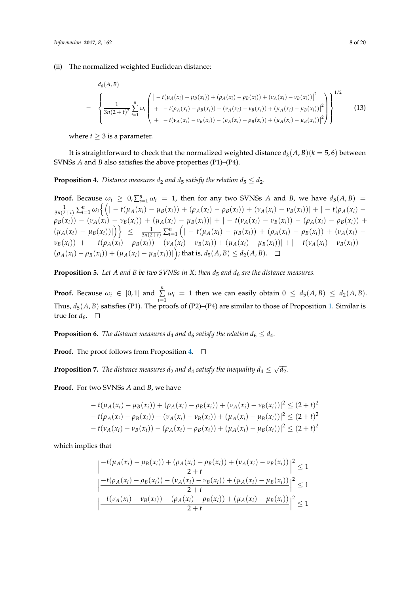(ii) The normalized weighted Euclidean distance:

<span id="page-7-2"></span>
$$
d_{6}(A, B)
$$
\n
$$
= \left\{\frac{1}{3n(2+t)^{2}} \sum_{i=1}^{n} \omega_{i} \left( \begin{array}{l} \left| -t(\mu_{A}(x_{i}) - \mu_{B}(x_{i})) + (\rho_{A}(x_{i}) - \rho_{B}(x_{i})) + (\nu_{A}(x_{i}) - \nu_{B}(x_{i})) \right|^{2} \\ + \left| -t(\rho_{A}(x_{i}) - \rho_{B}(x_{i})) - (\nu_{A}(x_{i}) - \nu_{B}(x_{i})) + (\mu_{A}(x_{i}) - \mu_{B}(x_{i})) \right|^{2} \\ + \left| -t(\nu_{A}(x_{i}) - \nu_{B}(x_{i})) - (\rho_{A}(x_{i}) - \rho_{B}(x_{i})) + (\mu_{A}(x_{i}) - \mu_{B}(x_{i})) \right|^{2} \end{array}\right\}^{1/2}
$$
\n(13)

where  $t \geq 3$  is a parameter.

It is straightforward to check that the normalized weighted distance  $d_k(A,B)(k=5,6)$  between SVNSs *A* and *B* also satisfies the above properties (P1)–(P4).

<span id="page-7-0"></span>**Proposition 4.** *Distance measures d*<sub>2</sub> *and d*<sub>5</sub> *satisfy the relation*  $d_5 \leq d_2$ *.* 

**Proof.** Because  $\omega_i \geq 0$ ,  $\sum_{i=1}^n \omega_i = 1$ , then for any two SVNSs *A* and *B*, we have  $d_5(A, B) =$  $\frac{1}{3n(2+t)}\sum_{i=1}^n\omega_i\Big\{\Big(|-t(\mu_A(x_i)-\mu_B(x_i)) +(\rho_A(x_i)-\rho_B(x_i)) +(\nu_A(x_i)-\nu_B(x_i))| + |-t(\rho_A(x_i)-\nu_B(x_i))|\Big\}.$  $\rho_B(x_i)) - (\nu_A(x_i) - \nu_B(x_i)) + (\mu_A(x_i) - \mu_B(x_i))| + |-t(\nu_A(x_i) - \nu_B(x_i)) - (\rho_A(x_i) - \rho_B(x_i))| +$  $(\mu_A(x_i) - \mu_B(x_i))|\right)$   $\leq \frac{1}{3n(2+t)}\sum_{i=1}^n (|-t(\mu_A(x_i) - \mu_B(x_i)) + (\rho_A(x_i) - \rho_B(x_i)) + (\nu_A(x_i) - \nu_B(x_i))$  $|\nu_B(x_i))| + |- t(\rho_A(x_i) - \rho_B(x_i)) - (\nu_A(x_i) - \nu_B(x_i)) + (\mu_A(x_i) - \mu_B(x_i))| + |- t(\nu_A(x_i) - \nu_B(x_i)) - \nu_B(x_i)|$  $(\rho_A(x_i) - \rho_B(x_i)) + (\mu_A(x_i) - \mu_B(x_i)))$  ; that is,  $d_5(A, B) \leq d_2(A, B)$ .

**Proposition 5.** Let A and B be two SVNSs in X; then  $d_5$  and  $d_6$  are the distance measures.

**Proof.** Because  $\omega_i \in [0,1]$  and  $\sum_{i=1}^{n}$  $\sum_{i=1}$   $\omega_i = 1$  then we can easily obtain  $0 \leq d_5(A, B) \leq d_2(A, B)$ . Thus,  $d_5(A, B)$  satisfies (P1). The proofs of (P2)–(P4) are similar to those of Proposition [1.](#page-4-1) Similar is true for  $d_6$ .  $\Box$ 

**Proposition 6.** *The distance measures*  $d_4$  *and*  $d_6$  *satisfy the relation*  $d_6 \leq d_4$ *.* 

**Proof.** The proof follows from Proposition [4.](#page-7-0) □

<span id="page-7-1"></span>**Proposition 7.** *The distance measures*  $d_2$  *and*  $d_4$  *satisfy the inequality*  $d_4 \leq \sqrt{2}$ *d*2*.*

**Proof.** For two SVNSs *A* and *B*, we have

$$
|-t(\mu_A(x_i) - \mu_B(x_i)) + (\rho_A(x_i) - \rho_B(x_i)) + (\nu_A(x_i) - \nu_B(x_i))|^2 \le (2+t)^2
$$
  

$$
|-t(\rho_A(x_i) - \rho_B(x_i)) - (\nu_A(x_i) - \nu_B(x_i)) + (\mu_A(x_i) - \mu_B(x_i))|^2 \le (2+t)^2
$$
  

$$
|-t(\nu_A(x_i) - \nu_B(x_i)) - (\rho_A(x_i) - \rho_B(x_i)) + (\mu_A(x_i) - \mu_B(x_i))|^2 \le (2+t)^2
$$

which implies that

$$
\left| \frac{-t(\mu_A(x_i) - \mu_B(x_i)) + (\rho_A(x_i) - \rho_B(x_i)) + (\nu_A(x_i) - \nu_B(x_i))}{2 + t} \right|^2 \le 1
$$
  

$$
\left| \frac{-t(\rho_A(x_i) - \rho_B(x_i)) - (\nu_A(x_i) - \nu_B(x_i)) + (\mu_A(x_i) - \mu_B(x_i))}{2 + t} \right|^2 \le 1
$$
  

$$
\left| \frac{-t(\nu_A(x_i) - \nu_B(x_i)) - (\rho_A(x_i) - \rho_B(x_i)) + (\mu_A(x_i) - \mu_B(x_i))}{2 + t} \right|^2 \le 1
$$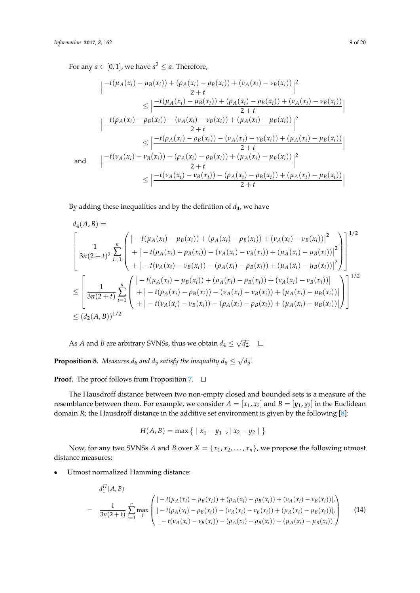For any  $a \in [0,1]$ , we have  $a^2 \le a$ . Therefore,

$$
\left| \frac{-t(\mu_A(x_i) - \mu_B(x_i)) + (\rho_A(x_i) - \rho_B(x_i)) + (\nu_A(x_i) - \nu_B(x_i))}{2 + t} \right|^2
$$
\n
$$
\leq \left| \frac{-t(\mu_A(x_i) - \mu_B(x_i)) + (\rho_A(x_i) - \rho_B(x_i)) + (\nu_A(x_i) - \nu_B(x_i))}{2 + t} \right|
$$
\n
$$
\left| \frac{-t(\rho_A(x_i) - \rho_B(x_i)) - (\nu_A(x_i) - \nu_B(x_i)) + (\mu_A(x_i) - \mu_B(x_i))}{2 + t} \right|^2
$$
\n
$$
\leq \left| \frac{-t(\rho_A(x_i) - \rho_B(x_i)) - (\nu_A(x_i) - \nu_B(x_i)) + (\mu_A(x_i) - \mu_B(x_i))}{2 + t} \right|
$$
\nand\n
$$
\left| \frac{-t(\nu_A(x_i) - \nu_B(x_i)) - (\rho_A(x_i) - \rho_B(x_i)) + (\mu_A(x_i) - \mu_B(x_i))}{2 + t} \right|^2
$$
\n
$$
\leq \left| \frac{-t(\nu_A(x_i) - \nu_B(x_i)) - (\rho_A(x_i) - \rho_B(x_i)) + (\mu_A(x_i) - \mu_B(x_i))}{2 + t} \right|
$$

By adding these inequalities and by the definition of  $d_4$ , we have

$$
d_{4}(A, B) =
$$
\n
$$
\left[\frac{1}{3n(2+t)^{2}} \sum_{i=1}^{n} \left( \frac{\left|-t(\mu_{A}(x_{i}) - \mu_{B}(x_{i})) + (\rho_{A}(x_{i}) - \rho_{B}(x_{i})) + (\nu_{A}(x_{i}) - \nu_{B}(x_{i}))\right|^{2}}{+ \left|-t(\rho_{A}(x_{i}) - \rho_{B}(x_{i})) - (\nu_{A}(x_{i}) - \nu_{B}(x_{i})) + (\mu_{A}(x_{i}) - \mu_{B}(x_{i}))\right|^{2}} \right] \right]^{1/2}
$$
\n
$$
\leq \left[\frac{1}{3n(2+t)} \sum_{i=1}^{n} \left( \frac{\left|-t(\mu_{A}(x_{i}) - \mu_{B}(x_{i})) - (\rho_{A}(x_{i}) - \rho_{B}(x_{i})) + (\mu_{A}(x_{i}) - \mu_{B}(x_{i}))\right|^{2}}{+ \left|-t(\rho_{A}(x_{i}) - \mu_{B}(x_{i})) + (\rho_{A}(x_{i}) - \rho_{B}(x_{i})) + (\nu_{A}(x_{i}) - \nu_{B}(x_{i}))\right|} \right]^{1/2}
$$
\n
$$
\leq \left[\frac{1}{3n(2+t)} \sum_{i=1}^{n} \left( \frac{\left|-t(\mu_{A}(x_{i}) - \mu_{B}(x_{i})) - (\nu_{A}(x_{i}) - \nu_{B}(x_{i})) + (\mu_{A}(x_{i}) - \mu_{B}(x_{i}))\right|}{+ \left|-t(\nu_{A}(x_{i}) - \nu_{B}(x_{i})) - (\rho_{A}(x_{i}) - \rho_{B}(x_{i})) + (\mu_{A}(x_{i}) - \mu_{B}(x_{i}))\right|} \right]\right]^{1/2}
$$
\n
$$
\leq (d_{2}(A, B))^{1/2}
$$

As *A* and *B* are arbitrary SVNSs, thus we obtain  $d_4 \leq \sqrt{ }$ *d*2.

**Proposition 8.** Measures  $d_6$  and  $d_5$  satisfy the inequality  $d_6 \leq \sqrt{2}$ *d*5*.*

**Proof.** The proof follows from Proposition [7.](#page-7-1) □

The Hausdroff distance between two non-empty closed and bounded sets is a measure of the resemblance between them. For example, we consider  $A = [x_1, x_2]$  and  $B = [y_1, y_2]$  in the Euclidean domain *R*; the Hausdroff distance in the additive set environment is given by the following [\[8\]](#page-17-4):

$$
H(A, B) = \max \{ |x_1 - y_1|, |x_2 - y_2| \}
$$

Now, for any two SVNSs *A* and *B* over  $X = \{x_1, x_2, ..., x_n\}$ , we propose the following utmost distance measures:

• Utmost normalized Hamming distance:

<span id="page-8-0"></span>
$$
d_1^H(A, B)
$$
\n
$$
= \frac{1}{3n(2+t)} \sum_{i=1}^n \max_i \begin{pmatrix} | -t(\mu_A(x_i) - \mu_B(x_i)) + (\rho_A(x_i) - \rho_B(x_i)) + (\nu_A(x_i) - \nu_B(x_i)) |, \\ | -t(\rho_A(x_i) - \rho_B(x_i)) - (\nu_A(x_i) - \nu_B(x_i)) + (\mu_A(x_i) - \mu_B(x_i)) |, \\ | -t(\nu_A(x_i) - \nu_B(x_i)) - (\rho_A(x_i) - \rho_B(x_i)) + (\mu_A(x_i) - \mu_B(x_i)) | \end{pmatrix}
$$
\n(14)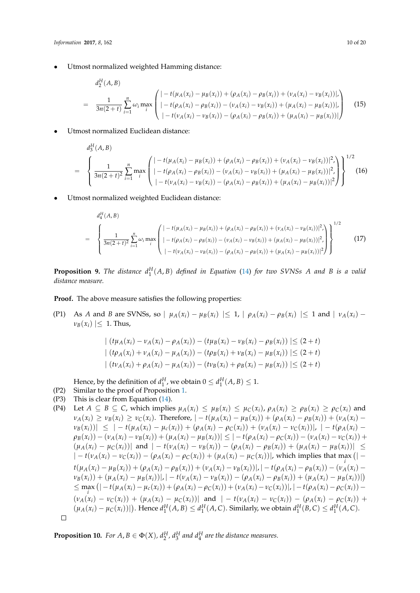• Utmost normalized weighted Hamming distance:

$$
d_2^H(A,B)
$$
\n
$$
= \frac{1}{3n(2+t)} \sum_{i=1}^n \omega_i \max_i \begin{pmatrix} | -t(\mu_A(x_i) - \mu_B(x_i)) + (\rho_A(x_i) - \rho_B(x_i)) + (\nu_A(x_i) - \nu_B(x_i)) |, \\ | -t(\rho_A(x_i) - \rho_B(x_i)) - (\nu_A(x_i) - \nu_B(x_i)) + (\mu_A(x_i) - \mu_B(x_i)) |, \\ | -t(\nu_A(x_i) - \nu_B(x_i)) - (\rho_A(x_i) - \rho_B(x_i)) + (\mu_A(x_i) - \mu_B(x_i)) | \end{pmatrix}
$$
\n(15)

• Utmost normalized Euclidean distance:

$$
d_3^H(A, B)
$$
\n
$$
= \left\{\frac{1}{3n(2+t)^2} \sum_{i=1}^n \max_i \left( \frac{|-t(\mu_A(x_i) - \mu_B(x_i)) + (\rho_A(x_i) - \rho_B(x_i)) + (\nu_A(x_i) - \nu_B(x_i))|^2}{|-t(\rho_A(x_i) - \rho_B(x_i)) - (\nu_A(x_i) - \nu_B(x_i)) + (\mu_A(x_i) - \mu_B(x_i))|^2} \right) \right\}^{1/2} (16)
$$

• Utmost normalized weighted Euclidean distance:

$$
d_4^H(A, B)
$$
\n
$$
= \left\{\frac{1}{3n(2+t)^2} \sum_{i=1}^n \omega_i \max_i \left( \frac{|-t(\mu_A(x_i) - \mu_B(x_i)) + (\rho_A(x_i) - \rho_B(x_i)) + (\nu_A(x_i) - \nu_B(x_i))|^2}{|-t(\rho_A(x_i) - \rho_B(x_i)) - (\nu_A(x_i) - \nu_B(x_i)) + (\mu_A(x_i) - \mu_B(x_i))|^2} \right) \right\}^{1/2}
$$
\n
$$
(17)
$$

**Proposition 9.** The distance  $d_1^H(A, B)$  defined in Equation [\(14\)](#page-8-0) for two SVNSs A and B is a valid *distance measure.*

**Proof.** The above measure satisfies the following properties:

(P1) As A and B are SVNSs, so  $\mid \mu_A(x_i) - \mu_B(x_i) \mid \leq 1$ ,  $\mid \rho_A(x_i) - \rho_B(x_i) \mid \leq 1$  and  $\mid \nu_A(x_i) - \mu_B(x_i) \mid \leq 1$  $\nu_B(x_i) \leq 1$ . Thus,

$$
\left| (t\mu_A(x_i) - v_A(x_i) - \rho_A(x_i)) - (t\mu_B(x_i) - v_B(x_i) - \rho_B(x_i)) \right| \le (2+t)
$$
  

$$
\left| (t\rho_A(x_i) + v_A(x_i) - \mu_A(x_i)) - (t\rho_B(x_i) + v_B(x_i) - \mu_B(x_i)) \right| \le (2+t)
$$
  

$$
\left| (t\nu_A(x_i) + \rho_A(x_i) - \mu_A(x_i)) - (t\nu_B(x_i) + \rho_B(x_i) - \mu_B(x_i)) \right| \le (2+t)
$$

Hence, by the definition of  $d_1^H$ , we obtain  $0 \leq d_1^H(A, B) \leq 1$ .

- (P2) Similar to the proof of Proposition [1.](#page-4-1)
- (P3) This is clear from Equation [\(14\)](#page-8-0).

(14) Let 
$$
A \subseteq B \subseteq C
$$
, which implies  $μ_A(x_i) \le μ_B(x_i) \le μ_C(x_i)$ ,  $ρ_A(x_i) \ge ρ_B(x_i) \ge ρ_C(x_i)$  and  $ν_A(x_i) \ge ν_B(x_i) \ge ν_C(x_i)$ . Therefore,  $| -t(μ_A(x_i) - μ_B(x_i)) + (ρ_A(x_i) - ρ_B(x_i)) + (ν_A(x_i) - ν_B(x_i))| \le | -t(μ_A(x_i) - μ_C(x_i)) + (ρ_A(x_i) - ρ_C(x_i))|, | -t(ρ_A(x_i) - ρ_C(x_i) - ρ_B(x_i))| \le | -t(μ_A(x_i) - μ_C(x_i)) + (μ_A(x_i) - μ_B(x_i))| \le | -t(ρ_A(x_i) - ψ_C(x_i)) - (ν_A(x_i) - ν_C(x_i))| + (μ_A(x_i) - μ_C(x_i))|$  and  $| -t(ν_A(x_i) - ν_B(x_i)) - (ρ_A(x_i) - ρ_B(x_i)) + (μ_A(x_i) - μ_B(x_i))| \le | -t(ν_A(x_i) - μ_C(x_i) - ν_C(x_i) - ρ_C(x_i) - ρ_C(x_i)| + (μ_A(x_i) - μ_C(x_i) - ρ_C(x_i)) + (μ_A(x_i) - μ_C(x_i))|, which implies that max (| - t(μ_A(x_i) - μ_B(x_i)) + (ρ_A(x_i) - ρ_B(x_i)) + (ν_A(x_i) - ν_B(x_i))|, | -t(ρ_A(x_i) - ρ_B(x_i)) - (ν_A(x_i) - μ_B(x_i))| \le max (|-t(μ_A(x_i) - μ_B(x_i))|, |-t(ν_A(x_i) - ν_B(x_i)) - (ρ_A(x_i) - ρ_B(x_i))|, | -t(ρ_A(x_i) - μ_B(x_i))|) \le max (|-t(μ_A(x_i) - μ_C(x_i)) + (ρ_A(x_i) - ρ_C(x_i)) + (ν_A(x_i) - ν_C(x_i)) + (ν_A(x_i) - ν_C(x_i))|, | -t(ν_A(x_i) - ν_C(x_i))|, | -t(ν_A(x_i) - ν_C(x_i) - ν_C(x_i) - ν_C(x_i)|) - (ν_A(x_i) - ν_C(x_i) - ν_C(x_i) - ν_C(x_i) - ν_C(x_i) - ν_C(x_i) - ν_C(x_i) - ν_C(x_i) - ν_C(x_i) - ν_C(x_i) - ν_C(x_i) - ν_C(x_i) - ν_C(x_i) - ν_C(x_i) - ν_C(x_i) - ν_C(x_i) - ν_C(x_i) - ν_C(x_i) - ν_C(x_i) -$ 

**Proposition 10.** *For*  $A, B \in \Phi(X)$ ,  $d_2^H$ ,  $d_3^H$  and  $d_4^H$  are the distance measures.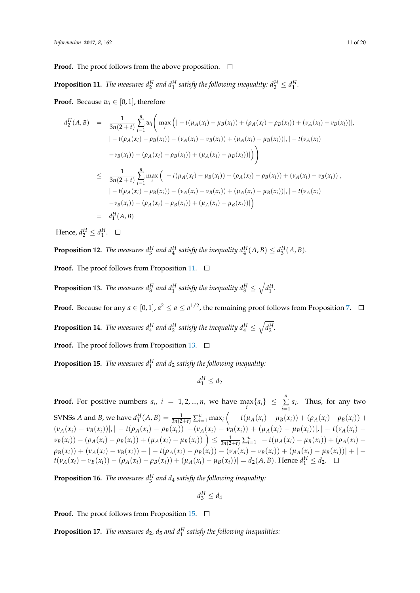**Proof.** The proof follows from the above proposition.  $\Box$ 

<span id="page-10-0"></span>**Proposition 11.** The measures  $d_2^H$  and  $d_1^H$  satisfy the following inequality:  $d_2^H \leq d_1^H$ .

**Proof.** Because  $w_i \in [0, 1]$ , therefore

$$
d_2^H(A,B) = \frac{1}{3n(2+t)} \sum_{i=1}^n w_i \left( \max_i \left( | -t(\mu_A(x_i) - \mu_B(x_i)) + (\rho_A(x_i) - \rho_B(x_i)) + (\nu_A(x_i) - \nu_B(x_i)) \right|, |-t(\rho_A(x_i) - \rho_B(x_i)) - (\nu_A(x_i) - \nu_B(x_i)) + (\mu_A(x_i) - \mu_B(x_i))|, |-t(\nu_A(x_i) - \nu_B(x_i)) - (\rho_A(x_i) - \rho_B(x_i)) + (\mu_A(x_i) - \mu_B(x_i))| \right) \right)
$$
  

$$
\leq \frac{1}{3n(2+t)} \sum_{i=1}^n \max_i \left( | -t(\mu_A(x_i) - \mu_B(x_i)) + (\rho_A(x_i) - \rho_B(x_i)) + (\nu_A(x_i) - \nu_B(x_i)) \right), |-t(\rho_A(x_i) - \rho_B(x_i)) - (\nu_A(x_i) - \nu_B(x_i)) + (\mu_A(x_i) - \mu_B(x_i))|, |-t(\nu_A(x_i) - \nu_B(x_i)) - (\rho_A(x_i) - \rho_B(x_i)) + (\mu_A(x_i) - \mu_B(x_i))| \right) \right)
$$
  

$$
= d_1^H(A,B)
$$

Hence,  $d_2^H \leq d_1^H$ .

**Proposition 12.** The measures  $d_3^H$  and  $d_4^H$  satisfy the inequality  $d_4^H(A, B) \leq d_3^H(A, B)$ .

**Proof.** The proof follows from Proposition [11.](#page-10-0) □

<span id="page-10-1"></span>**Proposition 13.** *The measures*  $d_3^H$  *and*  $d_1^H$  *satisfy the inequality*  $d_3^H \le \sqrt{d_1^H}$ *.* 

**Proof.** Because for any  $a \in [0,1]$ ,  $a^2 \le a \le a^{1/2}$ , the remaining proof follows from Proposition [7.](#page-7-1)

**Proposition 14.** The measures  $d_4^H$  and  $d_2^H$  satisfy the inequality  $d_4^H \le \sqrt{d_2^H}$ .

**Proof.** The proof follows from Proposition [13.](#page-10-1)  $\Box$ 

<span id="page-10-2"></span>**Proposition 15.** *The measures d<sup>H</sup>* 1 *and d*<sup>2</sup> *satisfy the following inequality:*

$$
d_1^H \leq d_2
$$

**Proof.** For positive numbers  $a_i$ ,  $i = 1, 2, ..., n$ , we have  $\max_i \{a_i\} \leq \sum_{i=1}^n a_i$  $\sum_{i=1} a_i$ . Thus, for any two SVNSs *A* and *B*, we have  $d_1^H(A, B) = \frac{1}{3n(2+t)} \sum_{i=1}^n \max_i (1-t(\mu_A(x_i) - \mu_B(x_i)) + (\rho_A(x_i) - \rho_B(x_i)) +$  $(\nu_A(x_i) - \nu_B(x_i))|$ ,  $|- t(\rho_A(x_i) - \rho_B(x_i)) - (\nu_A(x_i) - \nu_B(x_i)) + (\mu_A(x_i) - \mu_B(x_i))|$ ,  $|- t(\nu_A(x_i) - \nu_B(x_i))|$  $\nu_B(x_i)) - (\rho_A(x_i) - \rho_B(x_i)) + (\mu_A(x_i) - \mu_B(x_i)))\n\Big] \leq \frac{1}{3n(2+t)} \sum_{i=1}^n |-t(\mu_A(x_i) - \mu_B(x_i)) + (\rho_A(x_i) - \mu_B(x_i)))$  $\rho_B(x_i)) + (\nu_A(x_i) - \nu_B(x_i)) + |-t(\rho_A(x_i) - \rho_B(x_i)) - (\nu_A(x_i) - \nu_B(x_i)) + (\mu_A(x_i) - \mu_B(x_i))| + |-t(\rho_A(x_i) - \rho_B(x_i))|$  $t(\nu_A(x_i) - \nu_B(x_i)) - (\rho_A(x_i) - \rho_B(x_i)) + (\mu_A(x_i) - \mu_B(x_i)) = d_2(A, B)$ . Hence  $d_1^H \leq d_2$ .

**Proposition 16.** *The measures d<sup>H</sup>* 3 *and d*<sup>4</sup> *satisfy the following inequality:*

$$
d_3^H \leq d_4
$$

**Proof.** The proof follows from Proposition [15.](#page-10-2) □

**Proposition 17.** *The measures*  $d_2$ ,  $d_5$  *and*  $d_1^H$  *satisfy the following inequalities:*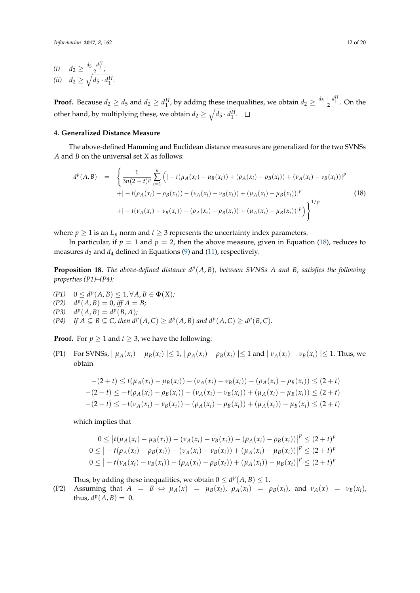$$
\begin{array}{ll} (i) & d_2 \ge \frac{d_5 + d_1^H}{2};\\ (ii) & d_2 \ge \sqrt{d_5 \cdot d_1^H} \end{array}
$$

**Proof.** Because  $d_2 \geq d_5$  and  $d_2 \geq d_1^H$ , by adding these inequalities, we obtain  $d_2 \geq \frac{d_5 + d_1^H}{2}$ . On the other hand, by multiplying these, we obtain  $d_2 \ge \sqrt{d_5 \cdot d_1^H}$ .

#### <span id="page-11-0"></span>**4. Generalized Distance Measure**

*.*

The above-defined Hamming and Euclidean distance measures are generalized for the two SVNSs *A* and *B* on the universal set *X* as follows:

<span id="page-11-1"></span>
$$
d^{p}(A, B) = \left\{ \frac{1}{3n(2+t)^{p}} \sum_{i=1}^{n} \left( | -t(\mu_{A}(x_{i}) - \mu_{B}(x_{i})) + (\rho_{A}(x_{i}) - \rho_{B}(x_{i})) + (\nu_{A}(x_{i}) - \nu_{B}(x_{i})) |^{p} \right. \\ + \left| -t(\rho_{A}(x_{i}) - \rho_{B}(x_{i})) - (\nu_{A}(x_{i}) - \nu_{B}(x_{i})) + (\mu_{A}(x_{i}) - \mu_{B}(x_{i})) |^{p} \right\} + \left| -t(\nu_{A}(x_{i}) - \nu_{B}(x_{i})) - (\rho_{A}(x_{i}) - \rho_{B}(x_{i})) + (\mu_{A}(x_{i}) - \mu_{B}(x_{i})) |^{p} \right) \right\}^{1/p}
$$
(18)

where  $p \ge 1$  is an  $L_p$  norm and  $t \ge 3$  represents the uncertainty index parameters.

In particular, if  $p = 1$  and  $p = 2$ , then the above measure, given in Equation [\(18\)](#page-11-1), reduces to measures  $d_2$  and  $d_4$  defined in Equations [\(9\)](#page-4-2) and [\(11\)](#page-4-0), respectively.

<span id="page-11-2"></span>**Proposition 18.** The above-defined distance  $d^p(A, B)$ , between SVNSs A and B, satisfies the following *properties (P1)–(P4):*

*(P1)*  $0 \le d^p(A, B) \le 1, \forall A, B \in \Phi(X);$  $(P2)$   $d^p(A, B) = 0$ , *iff*  $A = B$ ;  $d^p(A, B) = d^p(B, A)$ ;  $(P4)$  *If*  $A \subseteq B \subseteq C$ , then  $d^p(A, C) \ge d^p(A, B)$  and  $d^p(A, C) \ge d^p(B, C)$ .

**Proof.** For  $p \ge 1$  and  $t \ge 3$ , we have the following:

(P1) For SVNSs,  $|\mu_A(x_i) - \mu_B(x_i)| \leq 1$ ,  $|\rho_A(x_i) - \rho_B(x_i)| \leq 1$  and  $|\nu_A(x_i) - \nu_B(x_i)| \leq 1$ . Thus, we obtain

$$
-(2+t) \le t(\mu_A(x_i) - \mu_B(x_i)) - (\nu_A(x_i) - \nu_B(x_i)) - (\rho_A(x_i) - \rho_B(x_i)) \le (2+t)
$$
  

$$
-(2+t) \le -t(\rho_A(x_i) - \rho_B(x_i)) - (\nu_A(x_i) - \nu_B(x_i)) + (\mu_A(x_i) - \mu_B(x_i)) \le (2+t)
$$
  

$$
-(2+t) \le -t(\nu_A(x_i) - \nu_B(x_i)) - (\rho_A(x_i) - \rho_B(x_i)) + (\mu_A(x_i)) - \mu_B(x_i) \le (2+t)
$$

which implies that

$$
0 \le |t(\mu_A(x_i) - \mu_B(x_i)) - (\nu_A(x_i) - \nu_B(x_i)) - (\rho_A(x_i) - \rho_B(x_i))|^p \le (2+t)^p
$$
  
\n
$$
0 \le |-t(\rho_A(x_i) - \rho_B(x_i)) - (\nu_A(x_i) - \nu_B(x_i)) + (\mu_A(x_i) - \mu_B(x_i))|^p \le (2+t)^p
$$
  
\n
$$
0 \le |-t(\nu_A(x_i) - \nu_B(x_i)) - (\rho_A(x_i) - \rho_B(x_i)) + (\mu_A(x_i) - \mu_B(x_i))^p \le (2+t)^p
$$

Thus, by adding these inequalities, we obtain  $0 \leq d^p(A, B) \leq 1$ .

(P2) Assuming that  $A = B \Leftrightarrow \mu_A(x) = \mu_B(x_i)$ ,  $\rho_A(x_i) = \rho_B(x_i)$ , and  $\nu_A(x) = \nu_B(x_i)$ , thus,  $d^p(A, B) = 0$ .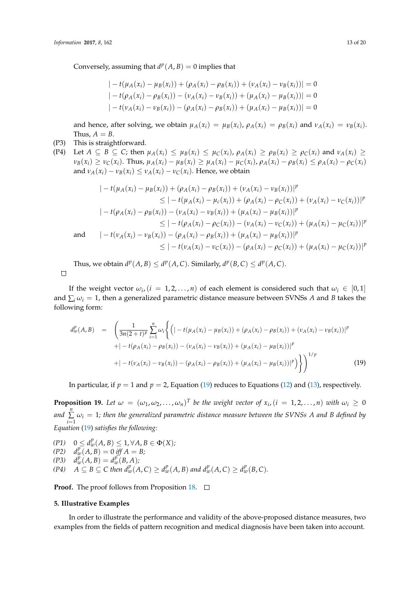Conversely, assuming that  $d^p(A, B) = 0$  implies that

$$
|-t(\mu_A(x_i) - \mu_B(x_i)) + (\rho_A(x_i) - \rho_B(x_i)) + (\nu_A(x_i) - \nu_B(x_i))| = 0
$$
  

$$
|-t(\rho_A(x_i) - \rho_B(x_i)) - (\nu_A(x_i) - \nu_B(x_i)) + (\mu_A(x_i) - \mu_B(x_i))| = 0
$$
  

$$
|-t(\nu_A(x_i) - \nu_B(x_i)) - (\rho_A(x_i) - \rho_B(x_i)) + (\mu_A(x_i) - \mu_B(x_i))| = 0
$$

and hence, after solving, we obtain  $\mu_A(x_i) = \mu_B(x_i)$ ,  $\rho_A(x_i) = \rho_B(x_i)$  and  $\nu_A(x_i) = \nu_B(x_i)$ . Thus,  $A = B$ .

## (P3) This is straightforward.

 $\Box$ 

(P4) Let  $A \subseteq B \subseteq C$ ; then  $\mu_A(x_i) \leq \mu_B(x_i) \leq \mu_C(x_i)$ ,  $\rho_A(x_i) \geq \rho_B(x_i) \geq \rho_C(x_i)$  and  $\nu_A(x_i) \geq$  $\nu_B(x_i) \geq \nu_C(x_i)$ . Thus,  $\mu_A(x_i) - \mu_B(x_i) \geq \mu_A(x_i) - \mu_C(x_i)$ ,  $\rho_A(x_i) - \rho_B(x_i) \leq \rho_A(x_i) - \rho_C(x_i)$ and  $\nu_A(x_i) - \nu_B(x_i) \leq \nu_A(x_i) - \nu_C(x_i)$ . Hence, we obtain

$$
\begin{aligned}\n&|-t(\mu_A(x_i) - \mu_B(x_i)) + (\rho_A(x_i) - \rho_B(x_i)) + (\nu_A(x_i) - \nu_B(x_i))|^p \\
&\leq |-t(\mu_A(x_i) - \mu_c(x_i)) + (\rho_A(x_i) - \rho_C(x_i)) + (\nu_A(x_i) - \nu_C(x_i))|^p \\
&|-t(\rho_A(x_i) - \rho_B(x_i)) - (\nu_A(x_i) - \nu_B(x_i)) + (\mu_A(x_i) - \mu_B(x_i))|^p \\
&\leq |-t(\rho_A(x_i) - \rho_C(x_i)) - (\nu_A(x_i) - \nu_C(x_i)) + (\mu_A(x_i) - \mu_C(x_i))|^p \\
\text{and} \qquad |-t(\nu_A(x_i) - \nu_B(x_i)) - (\rho_A(x_i) - \rho_B(x_i)) + (\mu_A(x_i) - \mu_B(x_i))|^p \\
&\leq |-t(\nu_A(x_i) - \nu_C(x_i)) - (\rho_A(x_i) - \rho_C(x_i)) + (\mu_A(x_i) - \mu_C(x_i))|^p\n\end{aligned}
$$

Thus, we obtain  $d^p(A, B) \leq d^p(A, C)$ . Similarly,  $d^p(B, C) \leq d^p(A, C)$ .

If the weight vector  $\omega_i$ ,  $(i = 1, 2, ..., n)$  of each element is considered such that  $\omega_i \in [0, 1]$ and  $\sum_i \omega_i = 1$ , then a generalized parametric distance measure between SVNSs *A* and *B* takes the following form:

<span id="page-12-1"></span>
$$
d_w^p(A,B) = \left(\frac{1}{3n(2+t)^p} \sum_{i=1}^n \omega_i \left\{ \left( \left| -t(\mu_A(x_i) - \mu_B(x_i)) + (\rho_A(x_i) - \rho_B(x_i)) + (\nu_A(x_i) - \nu_B(x_i)) \right|^p \right.\right.\left. + \left| -t(\rho_A(x_i) - \rho_B(x_i)) - (\nu_A(x_i) - \nu_B(x_i)) + (\mu_A(x_i) - \mu_B(x_i)) \right|^p \right\}+ \left| -t(\nu_A(x_i) - \nu_B(x_i)) - (\rho_A(x_i) - \rho_B(x_i)) + (\mu_A(x_i) - \mu_B(x_i)) \right|^p \right\} \right\}^{1/p}
$$
(19)

In particular, if  $p = 1$  and  $p = 2$ , Equation [\(19\)](#page-12-1) reduces to Equations [\(12\)](#page-6-0) and [\(13\)](#page-7-2), respectively.

**Proposition 19.** Let  $\omega = (\omega_1, \omega_2, ..., \omega_n)^T$  be the weight vector of  $x_i$ ,  $(i = 1, 2, ..., n)$  with  $\omega_i \geq 0$ and  $\sum\limits_{i=1}^{n}$   $\omega_i = 1$ ; then the generalized parametric distance measure between the SVNSs A and B defined by *i*=1 *Equation* [\(19\)](#page-12-1) *satisfies the following:*

*(P1)*  $0 \le d_w^p(A, B) \le 1, \forall A, B \in \Phi(X);$  $(P2)$   $d_w^p(A, B) = 0$  *iff*  $A = B$ ;  $d_w^p(A, B) = d_w^{p'}(B, A)$ ; (P4)  $A \subseteq B \subseteq C$  then  $d_w^p(A, C) \geq d_w^p(A, B)$  and  $d_w^p(A, C) \geq d_w^p(B, C)$ .

**Proof.** The proof follows from Proposition [18.](#page-11-2) □

#### <span id="page-12-0"></span>**5. Illustrative Examples**

In order to illustrate the performance and validity of the above-proposed distance measures, two examples from the fields of pattern recognition and medical diagnosis have been taken into account.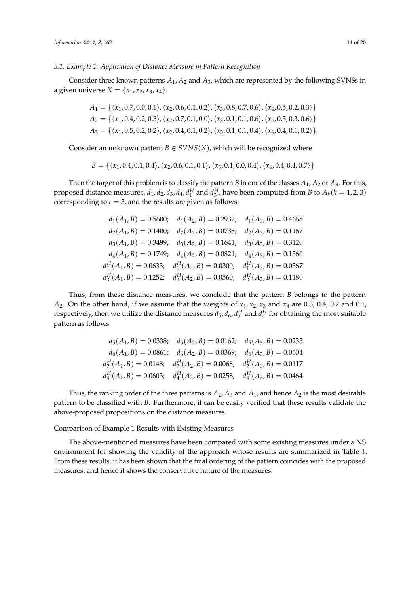#### *5.1. Example 1: Application of Distance Measure in Pattern Recognition*

Consider three known patterns *A*1, *A*<sup>2</sup> and *A*3, which are represented by the following SVNSs in a given universe  $X = \{x_1, x_2, x_3, x_4\}$ :

$$
A_1 = \{ \langle x_1, 0.7, 0.0, 0.1 \rangle, \langle x_2, 0.6, 0.1, 0.2 \rangle, \langle x_3, 0.8, 0.7, 0.6 \rangle, \langle x_4, 0.5, 0.2, 0.3 \rangle \}
$$
  
\n
$$
A_2 = \{ \langle x_1, 0.4, 0.2, 0.3 \rangle, \langle x_2, 0.7, 0.1, 0.0 \rangle, \langle x_3, 0.1, 0.1, 0.6 \rangle, \langle x_4, 0.5, 0.3, 0.6 \rangle \}
$$
  
\n
$$
A_3 = \{ \langle x_1, 0.5, 0.2, 0.2 \rangle, \langle x_2, 0.4, 0.1, 0.2 \rangle, \langle x_3, 0.1, 0.1, 0.4 \rangle, \langle x_4, 0.4, 0.1, 0.2 \rangle \}
$$

Consider an unknown pattern  $B \in SVNS(X)$ , which will be recognized where

*B* = { $\langle x_1, 0.4, 0.1, 0.4 \rangle$ ,  $\langle x_2, 0.6, 0.1, 0.1 \rangle$ ,  $\langle x_3, 0.1, 0.0, 0.4 \rangle$ ,  $\langle x_4, 0.4, 0.4, 0.7 \rangle$ }

Then the target of this problem is to classify the pattern *B* in one of the classes  $A_1$ ,  $A_2$  or  $A_3$ . For this, proposed distance measures,  $d_1$ ,  $d_2$ ,  $d_3$ ,  $d_4$ ,  $d_1^H$  and  $d_3^H$ , have been computed from *B* to  $A_k$ ( $k = 1, 2, 3$ ) corresponding to  $t = 3$ , and the results are given as follows:

| $d_1(A_1, B) = 0.5600; \quad d_1(A_2, B) = 0.2932; \quad d_1(A_3, B) = 0.4668$ |  |
|--------------------------------------------------------------------------------|--|
| $d_2(A_1, B) = 0.1400; \quad d_2(A_2, B) = 0.0733; \quad d_2(A_3, B) = 0.1167$ |  |
| $d_3(A_1, B) = 0.3499;$ $d_3(A_2, B) = 0.1641;$ $d_3(A_3, B) = 0.3120$         |  |
| $d_4(A_1, B) = 0.1749; \quad d_4(A_2, B) = 0.0821; \quad d_4(A_3, B) = 0.1560$ |  |
| $d_1^H(A_1, B) = 0.0633;$ $d_1^H(A_2, B) = 0.0300;$ $d_1^H(A_3, B) = 0.0567$   |  |
| $d_3^H(A_1, B) = 0.1252$ ; $d_3^H(A_2, B) = 0.0560$ ; $d_3^H(A_3, B) = 0.1180$ |  |

Thus, from these distance measures, we conclude that the pattern *B* belongs to the pattern *A*<sub>2</sub>. On the other hand, if we assume that the weights of  $x_1$ ,  $x_2$ ,  $x_3$  and  $x_4$  are 0.3, 0.4, 0.2 and 0.1, respectively, then we utilize the distance measures  $d_5$ ,  $d_6$ ,  $d_2^H$  and  $d_4^H$  for obtaining the most suitable pattern as follows:

$$
d_5(A_1, B) = 0.0338; \quad d_5(A_2, B) = 0.0162; \quad d_5(A_3, B) = 0.0233
$$
\n
$$
d_6(A_1, B) = 0.0861; \quad d_6(A_2, B) = 0.0369; \quad d_6(A_3, B) = 0.0604
$$
\n
$$
d_2^H(A_1, B) = 0.0148; \quad d_2^H(A_2, B) = 0.0068; \quad d_2^H(A_3, B) = 0.0117
$$
\n
$$
d_4^H(A_1, B) = 0.0603; \quad d_4^H(A_2, B) = 0.0258; \quad d_4^H(A_3, B) = 0.0464
$$

Thus, the ranking order of the three patterns is  $A_2$ ,  $A_3$  and  $A_1$ , and hence  $A_2$  is the most desirable pattern to be classified with *B*. Furthermore, it can be easily verified that these results validate the above-proposed propositions on the distance measures.

Comparison of Example 1 Results with Existing Measures

The above-mentioned measures have been compared with some existing measures under a NS environment for showing the validity of the approach whose results are summarized in Table [1.](#page-14-0) From these results, it has been shown that the final ordering of the pattern coincides with the proposed measures, and hence it shows the conservative nature of the measures.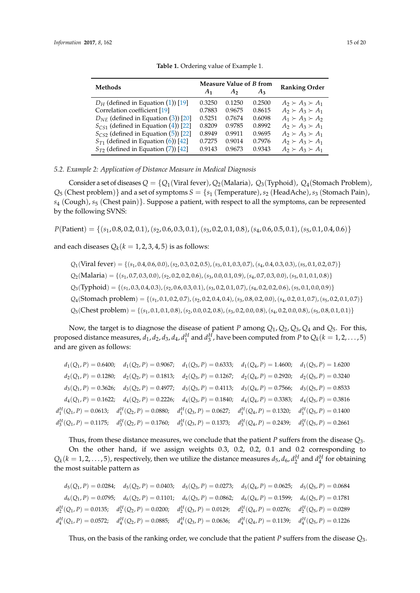<span id="page-14-0"></span>

| <b>Methods</b>                           |                | Measure Value of B from | <b>Ranking Order</b> |                           |
|------------------------------------------|----------------|-------------------------|----------------------|---------------------------|
|                                          | A <sub>1</sub> | Aэ                      | $A_3$                |                           |
| $D_H$ (defined in Equation (1)) [19]     | 0.3250         | 0.1250                  | 0.2500               | $A_2 \succ A_3 \succ A_1$ |
| Correlation coefficient [19]             | 0.7883         | 0.9675                  | 0.8615               | $A_2 \succ A_3 \succ A_1$ |
| $D_{NE}$ (defined in Equation (3)) [20]  | 0.5251         | 0.7674                  | 0.6098               | $A_1 \succ A_3 \succ A_2$ |
| $S_{CS1}$ (defined in Equation (4)) [22] | 0.8209         | 0.9785                  | 0.8992               | $A_2 \succ A_3 \succ A_1$ |
| $S_{CS2}$ (defined in Equation (5)) [22] | 0.8949         | 0.9911                  | 0.9695               | $A_2 \succ A_3 \succ A_1$ |
| $S_{T1}$ (defined in Equation (6)) [42]  | 0.7275         | 0.9014                  | 0.7976               | $A_2 \succ A_3 \succ A_1$ |
| $S_{T2}$ (defined in Equation (7)) [42]  | 0.9143         | 0.9673                  | 0.9343               | $A_2 \succ A_3 \succ A_1$ |
|                                          |                |                         |                      |                           |

**Table 1.** Ordering value of Example 1.

*5.2. Example 2: Application of Distance Measure in Medical Diagnosis*

Consider a set of diseases  $Q = \{Q_1(\text{Viral fever})$ ,  $Q_2(\text{Malaria})$ ,  $Q_3(\text{Typloid})$ ,  $Q_4(\text{Stomach Problem})$ ,  $Q_5$  (Chest problem)} and a set of symptoms  $S = \{s_1$  (Temperature),  $s_2$  (HeadAche),  $s_3$  (Stomach Pain), *s*<sup>4</sup> (Cough), *s*<sup>5</sup> (Chest pain)}. Suppose a patient, with respect to all the symptoms, can be represented by the following SVNS:

*P*(Patient) = {(*s*1, 0.8, 0.2, 0.1),(*s*2, 0.6, 0.3, 0.1),(*s*3, 0.2, 0.1, 0.8),(*s*4, 0.6, 0.5, 0.1),(*s*5, 0.1, 0.4, 0.6)}

and each diseases  $Q_k(k=1,2,3,4,5)$  is as follows:

$$
Q_1(\text{Viral fever}) = \{(s_1, 0.4, 0.6, 0.0), (s_2, 0.3, 0.2, 0.5), (s_3, 0.1, 0.3, 0.7), (s_4, 0.4, 0.3, 0.3), (s_5, 0.1, 0.2, 0.7)\}
$$
\n
$$
Q_2(\text{Malaria}) = \{(s_1, 0.7, 0.3, 0.0), (s_2, 0.2, 0.2, 0.6), (s_3, 0.0, 0.1, 0.9), (s_4, 0.7, 0.3, 0.0), (s_5, 0.1, 0.1, 0.8)\}
$$
\n
$$
Q_3(\text{Typhoid}) = \{(s_1, 0.3, 0.4, 0.3), (s_2, 0.6, 0.3, 0.1), (s_3, 0.2, 0.1, 0.7), (s_4, 0.2, 0.2, 0.6), (s_5, 0.1, 0.0, 0.9)\}
$$
\n
$$
Q_4(\text{Stomach problem}) = \{(s_1, 0.1, 0.2, 0.7), (s_2, 0.2, 0.4, 0.4), (s_3, 0.8, 0.2, 0.0), (s_4, 0.2, 0.1, 0.7), (s_5, 0.2, 0.1, 0.7)\}
$$
\n
$$
Q_5(\text{Chest problem}) = \{(s_1, 0.1, 0.1, 0.8), (s_2, 0.0, 0.2, 0.8), (s_3, 0.2, 0.0, 0.8), (s_4, 0.2, 0.0, 0.8), (s_5, 0.8, 0.1, 0.1)\}
$$

Now, the target is to diagnose the disease of patient *P* among *Q*1, *Q*2, *Q*3, *Q*<sup>4</sup> and *Q*5. For this, proposed distance measures,  $d_1$ ,  $d_2$ ,  $d_3$ ,  $d_4$ ,  $d_1^H$  and  $d_3^H$ , have been computed from P to  $Q_k$ ( $k = 1, 2, ..., 5$ ) and are given as follows:

|  | $d_1(Q_1, P) = 0.6400;$ $d_1(Q_2, P) = 0.9067;$ $d_1(Q_3, P) = 0.6333;$ $d_1(Q_4, P) = 1.4600;$ $d_1(Q_5, P) = 1.6200$           |  |  |
|--|----------------------------------------------------------------------------------------------------------------------------------|--|--|
|  | $d_2(Q_1, P) = 0.1280;$ $d_2(Q_2, P) = 0.1813;$ $d_2(Q_3, P) = 0.1267;$ $d_2(Q_4, P) = 0.2920;$ $d_2(Q_5, P) = 0.3240$           |  |  |
|  | $d_3(Q_1, P) = 0.3626$ ; $d_3(Q_2, P) = 0.4977$ ; $d_3(Q_3, P) = 0.4113$ ; $d_3(Q_4, P) = 0.7566$ ; $d_3(Q_5, P) = 0.8533$       |  |  |
|  | $d_4(Q_1, P) = 0.1622;$ $d_4(Q_2, P) = 0.2226;$ $d_4(Q_3, P) = 0.1840;$ $d_4(Q_4, P) = 0.3383;$ $d_4(Q_5, P) = 0.3816$           |  |  |
|  | $d_1^H(Q_1, P) = 0.0613;$ $d_1^H(Q_2, P) = 0.0880;$ $d_1^H(Q_3, P) = 0.0627;$ $d_1^H(Q_4, P) = 0.1320;$ $d_1^H(Q_5, P) = 0.1400$ |  |  |
|  | $d_3^H(Q_1, P) = 0.1175;$ $d_3^H(Q_2, P) = 0.1760;$ $d_3^H(Q_3, P) = 0.1373;$ $d_3^H(Q_4, P) = 0.2439;$ $d_3^H(Q_5, P) = 0.2661$ |  |  |

Thus, from these distance measures, we conclude that the patient *P* suffers from the disease *Q*3. On the other hand, if we assign weights 0.3, 0.2, 0.2, 0.1 and 0.2 corresponding to  $Q_k(k = 1, 2, \ldots, 5)$ , respectively, then we utilize the distance measures  $d_5$ ,  $d_6$ ,  $d_2^H$  and  $d_4^H$  for obtaining the most suitable pattern as

 $d_5(Q_1, P) = 0.0284; \quad d_5(Q_2, P) = 0.0403; \quad d_5(Q_3, P) = 0.0273; \quad d_5(Q_4, P) = 0.0625; \quad d_5(Q_5, P) = 0.0684$  $d_6(Q_1, P) = 0.0795; \quad d_6(Q_2, P) = 0.1101; \quad d_6(Q_3, P) = 0.0862; \quad d_6(Q_4, P) = 0.1599; \quad d_6(Q_5, P) = 0.1781$  $d_2^H(Q_1, P) = 0.0135;$   $d_2^H(Q_2, P) = 0.0200;$   $d_2^H(Q_3, P) = 0.0129;$   $d_2^H(Q_4, P) = 0.0276;$   $d_2^H(Q_5, P) = 0.0289$  $d_4^H(Q_1, P) = 0.0572$ ;  $d_4^H(Q_2, P) = 0.0885$ ;  $d_4^H(Q_3, P) = 0.0636$ ;  $d_4^H(Q_4, P) = 0.1139$ ;  $d_4^H(Q_5, P) = 0.1226$ 

Thus, on the basis of the ranking order, we conclude that the patient *P* suffers from the disease *Q*3.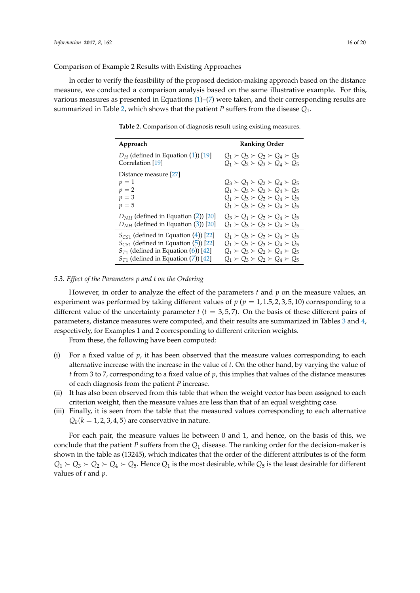Comparison of Example 2 Results with Existing Approaches

<span id="page-15-0"></span>In order to verify the feasibility of the proposed decision-making approach based on the distance measure, we conducted a comparison analysis based on the same illustrative example. For this, various measures as presented in Equations [\(1\)](#page-2-0)–[\(7\)](#page-3-1) were taken, and their corresponding results are summarized in Table [2,](#page-15-0) which shows that the patient *P* suffers from the disease *Q*1.

| Approach                                                  | <b>Ranking Order</b>                                                                                                                                                                             |
|-----------------------------------------------------------|--------------------------------------------------------------------------------------------------------------------------------------------------------------------------------------------------|
| $D_H$ (defined in Equation (1)) [19]                      | $Q_1 \succ Q_3 \succ Q_2 \succ Q_4 \succ Q_5$                                                                                                                                                    |
| Correlation [19]                                          | $Q_1 \succ Q_2 \succ Q_3 \succ Q_4 \succ Q_5$                                                                                                                                                    |
| Distance measure [27]<br>$p=1$<br>$p=2$<br>$p=3$<br>$p=5$ | $Q_3 \succ Q_1 \succ Q_2 \succ Q_4 \succ Q_5$<br>$Q_1 \succ Q_3 \succ Q_2 \succ Q_4 \succ Q_5$<br>$Q_1 \succ Q_3 \succ Q_2 \succ Q_4 \succ Q_5$<br>$Q_1 \succ Q_3 \succ Q_2 \succ Q_4 \succ Q_5$ |
| $D_{NH}$ (defined in Equation (2)) [20]                   | $Q_3 \succ Q_1 \succ Q_2 \succ Q_4 \succ Q_5$                                                                                                                                                    |
| $D_{NH}$ (defined in Equation (3)) [20]                   | $Q_1 \succ Q_3 \succ Q_2 \succ Q_4 \succ Q_5$                                                                                                                                                    |
| $S_{CS1}$ (defined in Equation (4)) [22]                  | $Q_1 \succ Q_3 \succ Q_2 \succ Q_4 \succ Q_5$                                                                                                                                                    |
| $S_{CS1}$ (defined in Equation (5)) [22]                  | $Q_1 \succ Q_2 \succ Q_3 \succ Q_4 \succ Q_5$                                                                                                                                                    |
| $S_{T1}$ (defined in Equation (6)) [42]                   | $Q_1 \succ Q_3 \succ Q_2 \succ Q_4 \succ Q_5$                                                                                                                                                    |
| $S_{T1}$ (defined in Equation (7)) [42]                   | $Q_1 \succ Q_3 \succ Q_2 \succ Q_4 \succ Q_5$                                                                                                                                                    |

**Table 2.** Comparison of diagnosis result using existing measures.

#### *5.3. Effect of the Parameters p and t on the Ordering*

However, in order to analyze the effect of the parameters *t* and *p* on the measure values, an experiment was performed by taking different values of  $p$  ( $p = 1, 1.5, 2, 3, 5, 10$ ) corresponding to a different value of the uncertainty parameter  $t$  ( $t = 3, 5, 7$ ). On the basis of these different pairs of parameters, distance measures were computed, and their results are summarized in Tables [3](#page-16-0) and [4,](#page-16-1) respectively, for Examples 1 and 2 corresponding to different criterion weights.

From these, the following have been computed:

- (i) For a fixed value of *p*, it has been observed that the measure values corresponding to each alternative increase with the increase in the value of *t*. On the other hand, by varying the value of *t* from 3 to 7, corresponding to a fixed value of *p*, this implies that values of the distance measures of each diagnosis from the patient *P* increase.
- (ii) It has also been observed from this table that when the weight vector has been assigned to each criterion weight, then the measure values are less than that of an equal weighting case.
- (iii) Finally, it is seen from the table that the measured values corresponding to each alternative  $Q_k(k=1,2,3,4,5)$  are conservative in nature.

For each pair, the measure values lie between 0 and 1, and hence, on the basis of this, we conclude that the patient *P* suffers from the *Q*<sup>1</sup> disease. The ranking order for the decision-maker is shown in the table as (13245), which indicates that the order of the different attributes is of the form  $Q_1 \succ Q_3 \succ Q_2 \succ Q_4 \succ Q_5$ . Hence  $Q_1$  is the most desirable, while  $Q_5$  is the least desirable for different values of *t* and *p*.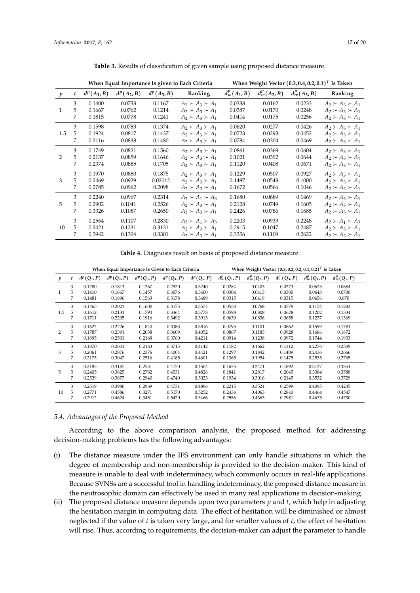<span id="page-16-0"></span>

|                  |   |               |               |               | When Equal Importance Is given to Each Criteria | When Weight Vector $(0.3, 0.4, 0.2, 0.1)^T$ Is Taken |                 |                 |                           |
|------------------|---|---------------|---------------|---------------|-------------------------------------------------|------------------------------------------------------|-----------------|-----------------|---------------------------|
| $\boldsymbol{p}$ | t | $d^p(A_1, B)$ | $d^p(A_2, B)$ | $d^p(A_3, B)$ | Ranking                                         | $d_w^p(A_1, B)$                                      | $d_w^p(A_2, B)$ | $d_w^p(A_3, B)$ | Ranking                   |
|                  | 3 | 0.1400        | 0.0733        | 0.1167        | $A_2 \succ A_3 \succ A_1$                       | 0.0338                                               | 0.0162          | 0.0233          | $A_2 \succ A_3 \succ A_1$ |
| $\mathbf{1}$     | 5 | 0.1667        | 0.0762        | 0.1214        | $A_2 \succ A_3 \succ A_1$                       | 0.0387                                               | 0.0170          | 0.0248          | $A_2 \succ A_3 \succ A_1$ |
|                  | 7 | 0.1815        | 0.0778        | 0.1241        | $A_2 \succ A_3 \succ A_1$                       | 0.0414                                               | 0.0175          | 0.0256          | $A_2 \succ A_3 \succ A_1$ |
|                  | 3 | 0.1598        | 0.0783        | 0.1374        | $A_2 \succ A_3 \succ A_1$                       | 0.0620                                               | 0.0277          | 0.0426          | $A_2 \succ A_3 \succ A_1$ |
| 1.5              | 5 | 0.1924        | 0.0817        | 0.1437        | $A_2 \succ A_3 \succ A_1$                       | 0.0723                                               | 0.0293          | 0.0452          | $A_2 \succ A_3 \succ A_1$ |
|                  | 7 | 0.2116        | 0.0838        | 0.1480        | $A_2 \succ A_3 \succ A_1$                       | 0.0784                                               | 0.0304          | 0.0469          | $A_2 \succ A_3 \succ A_1$ |
|                  | 3 | 0.1749        | 0.0821        | 0.1560        | $A_2 \succ A_3 \succ A_1$                       | 0.0861                                               | 0.0369          | 0.0604          | $A_2 \succ A_3 \succ A_1$ |
|                  | 5 | 0.2137        | 0.0859        | 0.1646        | $A_2 \succ A_3 \succ A_1$                       | 0.1021                                               | 0.0392          | 0.0644          | $A_2 \succ A_3 \succ A_1$ |
|                  | 7 | 0.2374        | 0.0885        | 0.1705        | $A_2 \succ A_3 \succ A_1$                       | 0.1120                                               | 0.0408          | 0.0671          | $A_2 \succ A_3 \succ A_1$ |
|                  | 3 | 0.1970        | 0.0880        | 0.1875        | $A_2 \succ A_3 \succ A_1$                       | 0.1229                                               | 0.0507          | 0.0927          | $A_2 \succ A_3 \succ A_1$ |
| 3                | 5 | 0.2469        | 0.0929        | 0.02012       | $A_2 \succ A_3 \succ A_1$                       | 0.1497                                               | 0.0543          | 0.1000          | $A_2 \succ A_3 \succ A_1$ |
|                  | 7 | 0.2785        | 0.0962        | 0.2098        | $A_2 \succ A_3 \succ A_1$                       | 0.1672                                               | 0.0566          | 0.1046          | $A_2 \succ A_3 \succ A_1$ |
|                  | 3 | 0.2240        | 0.0967        | 0.2314        | $A_2 \succ A_1 \succ A_3$                       | 0.1680                                               | 0.0689          | 0.1469          | $A_2 \succ A_3 \succ A_1$ |
| 5                | 5 | 0.2902        | 0.1041        | 0.2526        | $A_2 \succ A_3 \succ A_1$                       | 0.2128                                               | 0.0749          | 0.1605          | $A_2 \succ A_3 \succ A_1$ |
|                  | 7 | 0.3326        | 0.1087        | 0.2650        | $A_2 \succ A_3 \succ A_1$                       | 0.2426                                               | 0.0786          | 0.1685          | $A_2 \succ A_3 \succ A_1$ |
|                  | 3 | 0.2564        | 0.1107        | 0.2830        | $A_2 \succ A_1 \succ A_3$                       | 0.2203                                               | 0.0939          | 0.2248          | $A_2 \succ A_1 \succ A_3$ |
| 10               | 5 | 0.3421        | 0.1231        | 0.3131        | $A_2 \succ A_3 \succ A_1$                       | 0.2915                                               | 0.1047          | 0.2487          | $A_2 \succ A_3 \succ A_1$ |
|                  | 7 | 0.3942        | 0.1304        | 0.3301        | $A_2 \succ A_3 \succ A_1$                       | 0.3356                                               | 0.1109          | 0.2622          | $A_2 \succ A_3 \succ A_1$ |

**Table 3.** Results of classification of given sample using proposed distance measure.

**Table 4.** Diagnosis result on basis of proposed distance measure.

<span id="page-16-1"></span>

|                  | When Equal Importance Is Given to Each Criteria |               |               |               |               | When Weight Vector $(0.3, 0.2, 0.2, 0.1, 0.2)^T$ is Taken |                          |                |                |                 |                 |  |
|------------------|-------------------------------------------------|---------------|---------------|---------------|---------------|-----------------------------------------------------------|--------------------------|----------------|----------------|-----------------|-----------------|--|
| $\boldsymbol{p}$ | t                                               | $d^p(Q_1, P)$ | $d^p(Q_2, P)$ | $d^p(Q_3, P)$ | $d^p(Q_4, P)$ | $d^p(Q_5, P)$                                             | $d_w^p(\mathcal{Q}_1,P)$ | $d_w^p(Q_2,P)$ | $d_w^p(Q_3,P)$ | $d_w^p(Q_4, P)$ | $d_w^p(Q_5, P)$ |  |
|                  | 3                                               | 0.1280        | 0.1813        | 0.1267        | 0.2920        | 0.3240                                                    | 0.0284                   | 0.0403         | 0.0273         | 0.0625          | 0.0684          |  |
|                  | 5                                               | 0.1410        | 0.1867        | 0.1457        | 0.3076        | 0.3400                                                    | 0.0304                   | 0.0413         | 0.0300         | 0.0643          | 0.0700          |  |
|                  | 7                                               | 0.1481        | 0.1896        | 0.1563        | 0.3178        | 0.3489                                                    | 0.0315                   | 0.0419         | 0.0315         | 0.0656          | 0.070           |  |
|                  | 3                                               | 0.1465        | 0.2023        | 0.1600        | 0.3175        | 0.3574                                                    | 0.0553                   | 0.0768         | 0.0579         | 0.1154          | 0.1282          |  |
| 1.5              | 5                                               | 0.1612        | 0.2131        | 0.1794        | 0.3364        | 0.3778                                                    | 0.0598                   | 0.0808         | 0.0628         | 0.1202          | 0.1334          |  |
|                  | 7                                               | 0.1711        | 0.2205        | 0.1916        | 0.3492        | 0.3913                                                    | 0.0630                   | 0.0836         | 0.0658         | 0.1237          | 0.1369          |  |
|                  | 3                                               | 0.1622        | 0.2226        | 0.1840        | 0.3383        | 0.3816                                                    | 0.0795                   | 0.1101         | 0.0862         | 0.1599          | 0.1781          |  |
| 2                | 5                                               | 0.1787        | 0.2391        | 0.2038        | 0.3609        | 0.4052                                                    | 0.0867                   | 0.1183         | 0.0928         | 0.1686          | 0.1872          |  |
|                  | 7                                               | 0.1895        | 0.2501        | 0.2168        | 0.3760        | 0.4211                                                    | 0.0914                   | 0.1238         | 0.0972         | 0.1744          | 0.1933          |  |
|                  | 3                                               | 0.1870        | 0.2601        | 0.2163        | 0.3715        | 0.4142                                                    | 0.1182                   | 0.1662         | 0.1312         | 0.2276          | 0.2509          |  |
| 3                | 5                                               | 0.2061        | 0.2876        | 0.2376        | 0.4004        | 0.4421                                                    | 0.1297                   | 0.1842         | 0.1409         | 0.2436          | 0.2666          |  |
|                  | 7                                               | 0.2175        | 0.3047        | 0.2516        | 0.4185        | 0.4601                                                    | 0.1365                   | 0.1954         | 0.1475         | 0.2535          | 0.2765          |  |
|                  | 3                                               | 0.2185        | 0.3187        | 0.2531        | 0.4170        | 0.4504                                                    | 0.1675                   | 0.2471         | 0.1892         | 0.3127          | 0.3354          |  |
| 5                | 5                                               | 0.2405        | 0.3625        | 0.2782        | 0.4531        | 0.4826                                                    | 0.1841                   | 0.2817         | 0.2045         | 0.3384          | 0.3588          |  |
|                  | 7                                               | 0.2529        | 0.3877        | 0.2940        | 0.4740        | 0.5023                                                    | 0.1934                   | 0.3016         | 0.2145         | 0.3532          | 0.3729          |  |
|                  | 3                                               | 0.2519        | 0.3980        | 0.2969        | 0.4731        | 0.4896                                                    | 0.2215                   | 0.3524         | 0.2599         | 0.4095          | 0.4235          |  |
| 10               | 5                                               | 0.2771        | 0.4586        | 0.3271        | 0.5170        | 0.5252                                                    | 0.2434                   | 0.4063         | 0.2840         | 0.4464          | 0.4547          |  |
|                  | 7                                               | 0.2912        | 0.4624        | 0.3451        | 0.5420        | 0.5466                                                    | 0.2556                   | 0.4363         | 0.2981         | 0.4675          | 0.4730          |  |

#### *5.4. Advantages of the Proposed Method*

According to the above comparison analysis, the proposed method for addressing decision-making problems has the following advantages:

- (i) The distance measure under the IFS environment can only handle situations in which the degree of membership and non-membership is provided to the decision-maker. This kind of measure is unable to deal with indeterminacy, which commonly occurs in real-life applications. Because SVNSs are a successful tool in handling indeterminacy, the proposed distance measure in the neutrosophic domain can effectively be used in many real applications in decision-making.
- (ii) The proposed distance measure depends upon two parameters *p* and *t*, which help in adjusting the hesitation margin in computing data. The effect of hesitation will be diminished or almost neglected if the value of *t* is taken very large, and for smaller values of *t*, the effect of hesitation will rise. Thus, according to requirements, the decision-maker can adjust the parameter to handle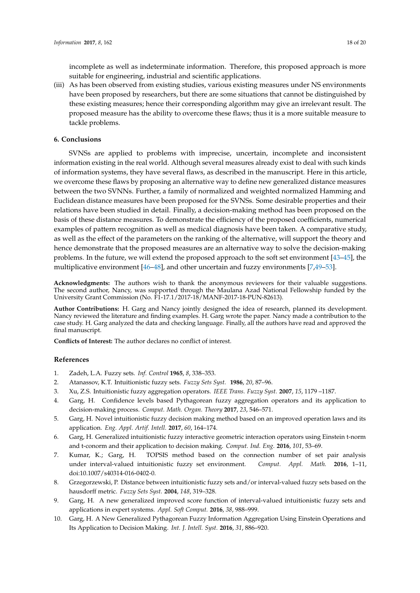incomplete as well as indeterminate information. Therefore, this proposed approach is more suitable for engineering, industrial and scientific applications.

(iii) As has been observed from existing studies, various existing measures under NS environments have been proposed by researchers, but there are some situations that cannot be distinguished by these existing measures; hence their corresponding algorithm may give an irrelevant result. The proposed measure has the ability to overcome these flaws; thus it is a more suitable measure to tackle problems.

#### <span id="page-17-3"></span>**6. Conclusions**

SVNSs are applied to problems with imprecise, uncertain, incomplete and inconsistent information existing in the real world. Although several measures already exist to deal with such kinds of information systems, they have several flaws, as described in the manuscript. Here in this article, we overcome these flaws by proposing an alternative way to define new generalized distance measures between the two SVNNs. Further, a family of normalized and weighted normalized Hamming and Euclidean distance measures have been proposed for the SVNSs. Some desirable properties and their relations have been studied in detail. Finally, a decision-making method has been proposed on the basis of these distance measures. To demonstrate the efficiency of the proposed coefficients, numerical examples of pattern recognition as well as medical diagnosis have been taken. A comparative study, as well as the effect of the parameters on the ranking of the alternative, will support the theory and hence demonstrate that the proposed measures are an alternative way to solve the decision-making problems. In the future, we will extend the proposed approach to the soft set environment [\[43](#page-19-3)[–45\]](#page-19-4), the multiplicative environment [\[46](#page-19-5)[–48\]](#page-19-6), and other uncertain and fuzzy environments [\[7,](#page-17-5)[49–](#page-19-7)[53\]](#page-19-8).

**Acknowledgments:** The authors wish to thank the anonymous reviewers for their valuable suggestions. The second author, Nancy, was supported through the Maulana Azad National Fellowship funded by the University Grant Commission (No. F1-17.1/2017-18/MANF-2017-18-PUN-82613).

**Author Contributions:** H. Garg and Nancy jointly designed the idea of research, planned its development. Nancy reviewed the literature and finding examples. H. Garg wrote the paper. Nancy made a contribution to the case study. H. Garg analyzed the data and checking language. Finally, all the authors have read and approved the final manuscript.

**Conflicts of Interest:** The author declares no conflict of interest.

#### **References**

- <span id="page-17-0"></span>1. Zadeh, L.A. Fuzzy sets. *Inf. Control* **1965**, *8*, 338–353.
- <span id="page-17-1"></span>2. Atanassov, K.T. Intuitionistic fuzzy sets. *Fuzzy Sets Syst.* **1986**, *20*, 87–96.
- <span id="page-17-2"></span>3. Xu, Z.S. Intuitionistic fuzzy aggregation operators. *IEEE Trans. Fuzzy Syst.* **2007**, *15*, 1179 –1187.
- 4. Garg, H. Confidence levels based Pythagorean fuzzy aggregation operators and its application to decision-making process. *Comput. Math. Organ. Theory* **2017**, *23*, 546–571.
- 5. Garg, H. Novel intuitionistic fuzzy decision making method based on an improved operation laws and its application. *Eng. Appl. Artif. Intell.* **2017**, *60*, 164–174.
- 6. Garg, H. Generalized intuitionistic fuzzy interactive geometric interaction operators using Einstein t-norm and t-conorm and their application to decision making. *Comput. Ind. Eng.* **2016**, *101*, 53–69.
- <span id="page-17-5"></span>7. Kumar, K.; Garg, H. TOPSIS method based on the connection number of set pair analysis under interval-valued intuitionistic fuzzy set environment. *Comput. Appl. Math.* **2016**, 1–11, doi:10.1007/s40314-016-0402-0.
- <span id="page-17-4"></span>8. Grzegorzewski, P. Distance between intuitionistic fuzzy sets and/or interval-valued fuzzy sets based on the hausdorff metric. *Fuzzy Sets Syst.* **2004**, *148*, 319–328.
- 9. Garg, H. A new generalized improved score function of interval-valued intuitionistic fuzzy sets and applications in expert systems. *Appl. Soft Comput.* **2016**, *38*, 988–999.
- 10. Garg, H. A New Generalized Pythagorean Fuzzy Information Aggregation Using Einstein Operations and Its Application to Decision Making. *Int. J. Intell. Syst.* **2016**, *31*, 886–920.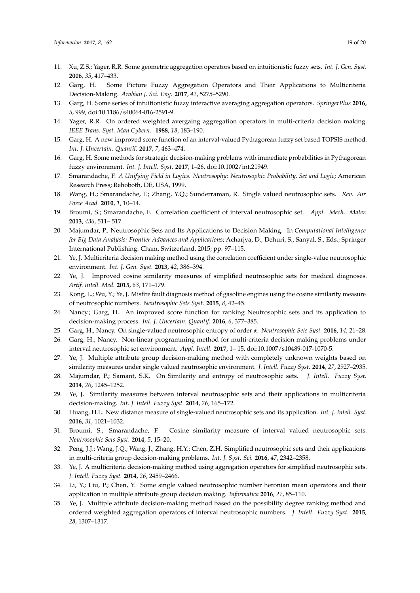- 11. Xu, Z.S.; Yager, R.R. Some geometric aggregation operators based on intuitionistic fuzzy sets. *Int. J. Gen. Syst.* **2006**, *35*, 417–433.
- 12. Garg, H. Some Picture Fuzzy Aggregation Operators and Their Applications to Multicriteria Decision-Making. *Arabian J. Sci. Eng.* **2017**, *42*, 5275–5290.
- 13. Garg, H. Some series of intuitionistic fuzzy interactive averaging aggregation operators. *SpringerPlus* **2016**, *5*, 999, doi:10.1186/s40064-016-2591-9.
- 14. Yager, R.R. On ordered weighted avergaing aggregation operators in multi-criteria decision making. *IEEE Trans. Syst. Man Cybern.* **1988**, *18*, 183–190.
- 15. Garg, H. A new improved score function of an interval-valued Pythagorean fuzzy set based TOPSIS method. *Int. J. Uncertain. Quantif.* **2017**, *7*, 463–474.
- <span id="page-18-0"></span>16. Garg, H. Some methods for strategic decision-making problems with immediate probabilities in Pythagorean fuzzy environment. *Int. J. Intell. Syst.* **2017**, 1–26, doi:10.1002/int.21949.
- <span id="page-18-1"></span>17. Smarandache, F. *A Unifying Field in Logics. Neutrosophy: Neutrosophic Probability, Set and Logic*; American Research Press; Rehoboth, DE, USA, 1999.
- <span id="page-18-2"></span>18. Wang, H.; Smarandache, F.; Zhang, Y.Q.; Sunderraman, R. Single valued neutrosophic sets. *Rev. Air Force Acad.* **2010**, *1*, 10–14.
- <span id="page-18-3"></span>19. Broumi, S.; Smarandache, F. Correlation coefficient of interval neutrosophic set. *Appl. Mech. Mater.* **2013**, *436*, 511– 517.
- <span id="page-18-4"></span>20. Majumdar, P., Neutrosophic Sets and Its Applications to Decision Making. In *Computational Intelligence for Big Data Analysis: Frontier Advances and Applications*; Acharjya, D., Dehuri, S., Sanyal, S., Eds.; Springer International Publishing: Cham, Switzerland, 2015; pp. 97–115.
- <span id="page-18-5"></span>21. Ye, J. Multicriteria decision making method using the correlation coefficient under single-value neutrosophic environment. *Int. J. Gen. Syst.* **2013**, *42*, 386–394.
- <span id="page-18-6"></span>22. Ye, J. Improved cosine similarity measures of simplified neutrosophic sets for medical diagnoses. *Artif. Intell. Med.* **2015**, *63*, 171–179.
- <span id="page-18-7"></span>23. Kong, L.; Wu, Y.; Ye, J. Misfire fault diagnosis method of gasoline engines using the cosine similarity measure of neutrosophic numbers. *Neutrosophic Sets Syst.* **2015**, *8*, 42–45.
- <span id="page-18-8"></span>24. Nancy.; Garg, H. An improved score function for ranking Neutrosophic sets and its application to decision-making process. *Int. J. Uncertain. Quantif.* **2016**, *6*, 377–385.
- <span id="page-18-10"></span><span id="page-18-9"></span>25. Garg, H.; Nancy. On single-valued neutrosophic entropy of order *α*. *Neutrosophic Sets Syst.* **2016**, *14*, 21–28.
- 26. Garg, H.; Nancy. Non-linear programming method for multi-criteria decision making problems under interval neutrosophic set environment. *Appl. Intell.* **2017**, 1– 15, doi:10.1007/s10489-017-1070-5.
- <span id="page-18-11"></span>27. Ye, J. Multiple attribute group decision-making method with completely unknown weights based on similarity measures under single valued neutrosophic environment. *J. Intell. Fuzzy Syst.* **2014**, *27*, 2927–2935.
- <span id="page-18-12"></span>28. Majumdar, P.; Samant, S.K. On Similarity and entropy of neutrosophic sets. *J. Intell. Fuzzy Syst.* **2014**, *26*, 1245–1252.
- <span id="page-18-13"></span>29. Ye, J. Similarity measures between interval neutrosophic sets and their applications in multicriteria decision-making. *Int. J. Intell. Fuzzy Syst.* **2014**, *26*, 165–172.
- <span id="page-18-14"></span>30. Huang, H.L. New distance measure of single-valued neutrosophic sets and its application. *Int. J. Intell. Syst.* **2016**, *31*, 1021–1032.
- <span id="page-18-15"></span>31. Broumi, S.; Smarandache, F. Cosine similarity measure of interval valued neutrosophic sets. *Neutrosophic Sets Syst.* **2014**, *5*, 15–20.
- 32. Peng, J.J.; Wang, J.Q.; Wang, J.; Zhang, H.Y.; Chen, Z.H. Simplified neutrosophic sets and their applications in multi-criteria group decision-making problems. *Int. J. Syst. Sci.* **2016**, *47*, 2342–2358.
- 33. Ye, J. A multicriteria decision-making method using aggregation operators for simplified neutrosophic sets. *J. Intell. Fuzzy Syst.* **2014**, *26*, 2459–2466.
- 34. Li, Y.; Liu, P.; Chen, Y. Some single valued neutrosophic number heronian mean operators and their application in multiple attribute group decision making. *Informatica* **2016**, *27*, 85–110.
- 35. Ye, J. Multiple attribute decision-making method based on the possibility degree ranking method and ordered weighted aggregation operators of interval neutrosophic numbers. *J. Intell. Fuzzy Syst.* **2015**, *28*, 1307–1317.